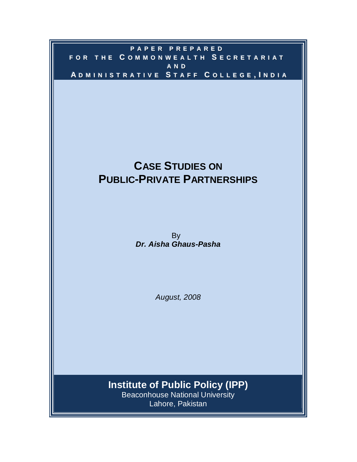## **PP AA PP EE RR PP RR EE PP AA RR EE DD** FOR THE COMMONWEALTH SECRETARIAT **AA NN DD** ADMINISTRATIVE STAFF COLLEGE, INDIA

# **CASE STUDIES ON PUBLIC-PRIVATE PARTNERSHIPS**

and the state of the state of the state of the By *Dr. Aisha Ghaus-Pasha*

*August, 2008*

**Institute of Public Policy (IPP)**

Beaconhouse National University Lahore, Pakistan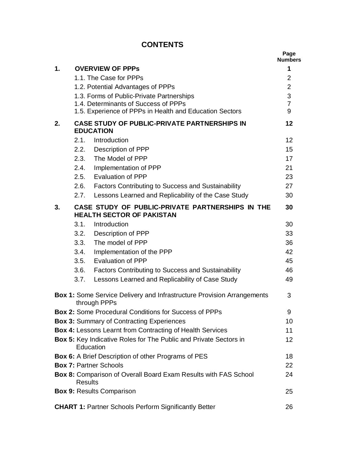## **CONTENTS**

|    |                |                                                                                               | Page<br><b>Numbers</b> |
|----|----------------|-----------------------------------------------------------------------------------------------|------------------------|
| 1. |                | <b>OVERVIEW OF PPPS</b>                                                                       | 1                      |
|    |                | 1.1. The Case for PPPs                                                                        | $\overline{2}$         |
|    |                | 1.2. Potential Advantages of PPPs                                                             | $\overline{2}$         |
|    |                | 1.3. Forms of Public-Private Partnerships                                                     | 3                      |
|    |                | 1.4. Determinants of Success of PPPs                                                          | $\overline{7}$         |
|    |                | 1.5. Experience of PPPs in Health and Education Sectors                                       | 9                      |
| 2. |                | <b>CASE STUDY OF PUBLIC-PRIVATE PARTNERSHIPS IN</b><br><b>EDUCATION</b>                       | 12                     |
|    |                | 2.1. Introduction                                                                             | 12                     |
|    |                | 2.2. Description of PPP                                                                       | 15                     |
|    | 2.3.           | The Model of PPP                                                                              | 17                     |
|    | 2.4.           | Implementation of PPP                                                                         | 21                     |
|    | 2.5.           | <b>Evaluation of PPP</b>                                                                      | 23                     |
|    | 2.6.           | <b>Factors Contributing to Success and Sustainability</b>                                     | 27                     |
|    | 2.7.           | Lessons Learned and Replicability of the Case Study                                           | 30                     |
| 3. |                | CASE STUDY OF PUBLIC-PRIVATE PARTNERSHIPS IN THE<br><b>HEALTH SECTOR OF PAKISTAN</b>          | 30                     |
|    |                | 3.1. Introduction                                                                             | 30                     |
|    | 3.2.           | <b>Description of PPP</b>                                                                     | 33                     |
|    | 3.3.           | The model of PPP                                                                              | 36                     |
|    | 3.4.           | Implementation of the PPP                                                                     | 42                     |
|    | 3.5.           | <b>Evaluation of PPP</b>                                                                      | 45                     |
|    | 3.6.           | <b>Factors Contributing to Success and Sustainability</b>                                     | 46                     |
|    | 3.7.           | Lessons Learned and Replicability of Case Study                                               | 49                     |
|    |                | <b>Box 1:</b> Some Service Delivery and Infrastructure Provision Arrangements<br>through PPPs | 3                      |
|    |                | <b>Box 2: Some Procedural Conditions for Success of PPPs</b>                                  | 9                      |
|    |                | <b>Box 3: Summary of Contracting Experiences</b>                                              | 10                     |
|    |                | <b>Box 4: Lessons Learnt from Contracting of Health Services</b>                              | 11                     |
|    | Education      | Box 5: Key Indicative Roles for The Public and Private Sectors in                             | 12                     |
|    |                | <b>Box 6:</b> A Brief Description of other Programs of PES                                    | 18                     |
|    |                | <b>Box 7: Partner Schools</b>                                                                 | 22                     |
|    | <b>Results</b> | Box 8: Comparison of Overall Board Exam Results with FAS School                               | 24                     |
|    |                | <b>Box 9: Results Comparison</b>                                                              | 25                     |
|    |                | <b>CHART 1: Partner Schools Perform Significantly Better</b>                                  | 26                     |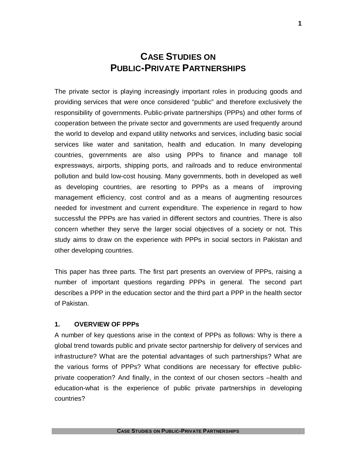## **CASE STUDIES ON PUBLIC-PRIVATE PARTNERSHIPS**

The private sector is playing increasingly important roles in producing goods and providing services that were once considered "public" and therefore exclusively the responsibility of governments. Public-private partnerships (PPPs) and other forms of cooperation between the private sector and governments are used frequently around the world to develop and expand utility networks and services, including basic social services like water and sanitation, health and education. In many developing countries, governments are also using PPPs to finance and manage toll expressways, airports, shipping ports, and railroads and to reduce environmental pollution and build low-cost housing. Many governments, both in developed as well as developing countries, are resorting to PPPs as a means of improving management efficiency, cost control and as a means of augmenting resources needed for investment and current expenditure. The experience in regard to how successful the PPPs are has varied in different sectors and countries. There is also concern whether they serve the larger social objectives of a society or not. This study aims to draw on the experience with PPPs in social sectors in Pakistan and other developing countries.

This paper has three parts. The first part presents an overview of PPPs, raising a number of important questions regarding PPPs in general. The second part describes a PPP in the education sector and the third part a PPP in the health sector of Pakistan.

#### **1. OVERVIEW OF PPPs**

A number of key questions arise in the context of PPPs as follows: Why is there a global trend towards public and private sector partnership for delivery of services and infrastructure? What are the potential advantages of such partnerships? What are the various forms of PPPs? What conditions are necessary for effective publicprivate cooperation? And finally, in the context of our chosen sectors –health and education-what is the experience of public private partnerships in developing countries?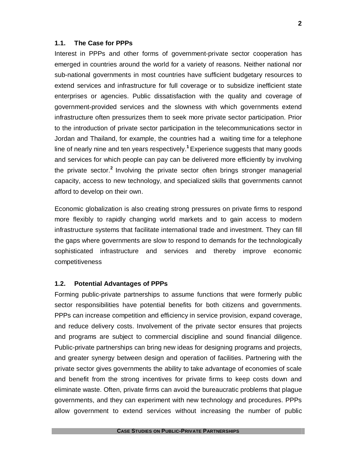#### **1.1. The Case for PPPs**

Interest in PPPs and other forms of government-private sector cooperation has emerged in countries around the world for a variety of reasons. Neither national nor sub-national governments in most countries have sufficient budgetary resources to extend services and infrastructure for full coverage or to subsidize inefficient state enterprises or agencies. Public dissatisfaction with the quality and coverage of government-provided services and the slowness with which governments extend infrastructure often pressurizes them to seek more private sector participation. Prior to the introduction of private sector participation in the telecommunications sector in Jordan and Thailand, for example, the countries had a waiting time for a telephone line of nearly nine and ten years respectively. **<sup>1</sup>**Experience suggests that many goods and services for which people can pay can be delivered more efficiently by involving the private sector.<sup>2</sup> Involving the private sector often brings stronger managerial capacity, access to new technology, and specialized skills that governments cannot afford to develop on their own.

Economic globalization is also creating strong pressures on private firms to respond more flexibly to rapidly changing world markets and to gain access to modern infrastructure systems that facilitate international trade and investment. They can fill the gaps where governments are slow to respond to demands for the technologically sophisticated infrastructure and services and thereby improve economic competitiveness

#### **1.2. Potential Advantages of PPPs**

Forming public-private partnerships to assume functions that were formerly public sector responsibilities have potential benefits for both citizens and governments. PPPs can increase competition and efficiency in service provision, expand coverage, and reduce delivery costs. Involvement of the private sector ensures that projects and programs are subject to commercial discipline and sound financial diligence. Public-private partnerships can bring new ideas for designing programs and projects, and greater synergy between design and operation of facilities. Partnering with the private sector gives governments the ability to take advantage of economies of scale and benefit from the strong incentives for private firms to keep costs down and eliminate waste. Often, private firms can avoid the bureaucratic problems that plague governments, and they can experiment with new technology and procedures. PPPs allow government to extend services without increasing the number of public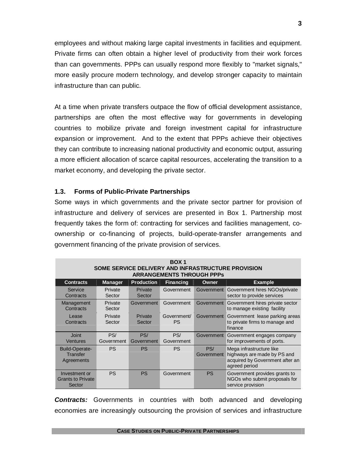employees and without making large capital investments in facilities and equipment. Private firms can often obtain a higher level of productivity from their work forces than can governments. PPPs can usually respond more flexibly to "market signals," more easily procure modern technology, and develop stronger capacity to maintain infrastructure than can public.

At a time when private transfers outpace the flow of official development assistance, partnerships are often the most effective way for governments in developing countries to mobilize private and foreign investment capital for infrastructure expansion or improvement. And to the extent that PPPs achieve their objectives they can contribute to increasing national productivity and economic output, assuring a more efficient allocation of scarce capital resources, accelerating the transition to a market economy, and developing the private sector.

#### **1.3. Forms of Public-Private Partnerships**

Some ways in which governments and the private sector partner for provision of infrastructure and delivery of services are presented in Box 1. Partnership most frequently takes the form of: contracting for services and facilities management, coownership or co-financing of projects, build-operate-transfer arrangements and government financing of the private provision of services.

| BOX <sub>1</sub><br>SOME SERVICE DELIVERY AND INFRASTRUCTURE PROVISION<br><b>ARRANGEMENTS THROUGH PPPS</b> |                   |                   |                          |                   |                                                                                                             |
|------------------------------------------------------------------------------------------------------------|-------------------|-------------------|--------------------------|-------------------|-------------------------------------------------------------------------------------------------------------|
| <b>Contracts</b>                                                                                           | <b>Manager</b>    | <b>Production</b> | <b>Financing</b>         | Owner             | <b>Example</b>                                                                                              |
| Service<br>Contracts                                                                                       | Private<br>Sector | Private<br>Sector | Government               | Government        | Government hires NGOs/private<br>sector to provide services                                                 |
| Management<br>Contracts                                                                                    | Private<br>Sector | Government        | Government               | Government        | Government hires private sector<br>to manage existing facility                                              |
| Lease<br>Contracts                                                                                         | Private<br>Sector | Private<br>Sector | Government/<br><b>PS</b> | Government        | Government lease parking areas<br>to private firms to manage and<br>finance                                 |
| Joint<br><b>Ventures</b>                                                                                   | PS/<br>Government | PS/<br>Government | PS/<br>Government        | Government        | Government engages company<br>for improvements of ports.                                                    |
| Build-Operate-<br><b>Transfer</b><br>Agreements                                                            | <b>PS</b>         | PS.               | <b>PS</b>                | PS/<br>Government | Mega infrastructure like<br>highways are made by PS and<br>acquired by Government after an<br>agreed period |
| Investment or<br><b>Grants to Private</b><br>Sector                                                        | <b>PS</b>         | <b>PS</b>         | Government               | <b>PS</b>         | Government provides grants to<br>NGOs who submit proposals for<br>service provision                         |

*Contracts:* Governments in countries with both advanced and developing economies are increasingly outsourcing the provision of services and infrastructure

**CASE STUDIES ON PUBLIC-PRIVATE PARTNERSHIPS**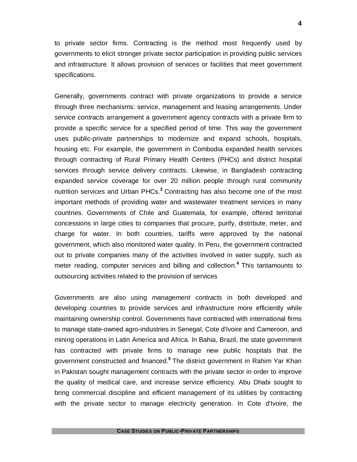to private sector firms. Contracting is the method most frequently used by governments to elicit stronger private sector participation in providing public services and infrastructure. It allows provision of services or facilities that meet government specifications.

Generally, governments contract with private organizations to provide a service through three mechanisms: service, management and leasing arrangements. Under *service contracts* arrangement a government agency contracts with a private firm to provide a specific service for a specified period of time. This way the government uses public-private partnerships to modernize and expand schools, hospitals, housing etc. For example, the government in Combodia expanded health services through contracting of Rural Primary Health Centers (PHCs) and district hospital services through service delivery contracts. Likewise, in Bangladesh contracting expanded service coverage for over 20 million people through rural community nutrition services and Urban PHCs. **<sup>3</sup>** Contracting has also become one of the most important methods of providing water and wastewater treatment services in many countries. Governments of Chile and Guatemala, for example, offered territorial concessions in large cities to companies that procure, purify, distribute, meter, and charge for water. In both countries, tariffs were approved by the national government, which also monitored water quality. In Peru, the government contracted out to private companies many of the activities involved in water supply, such as meter reading, computer services and billing and collection.**<sup>4</sup>** This tantamounts to outsourcing activities related to the provision of services

Governments are also using *management contracts* in both developed and developing countries to provide services and infrastructure more efficiently while maintaining ownership control. Governments have contracted with international firms to manage state-owned agro-industries in Senegal, Cote d'Ivoire and Cameroon, and mining operations in Latin America and Africa. In Bahia, Brazil, the state government has contracted with private firms to manage new public hospitals that the government constructed and financed.**<sup>5</sup>** The district government in Rahim Yar Khan in Pakistan sought management contracts with the private sector in order to improve the quality of medical care, and increase service efficiency. Abu Dhabi sought to bring commercial discipline and efficient management of its utilities by contracting with the private sector to manage electricity generation. In Cote d'Ivoire, the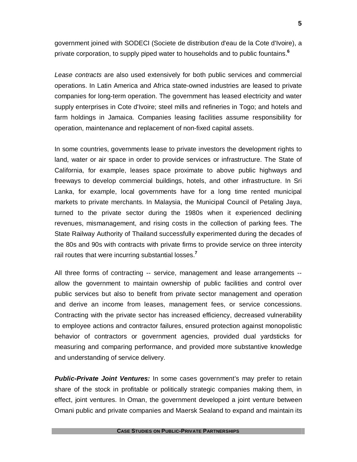government joined with SODECI (Societe de distribution d'eau de la Cote d'Ivoire), a private corporation, to supply piped water to households and to public fountains.**<sup>6</sup>**

*Lease contracts* are also used extensively for both public services and commercial operations. In Latin America and Africa state-owned industries are leased to private companies for long-term operation. The government has leased electricity and water supply enterprises in Cote d'Ivoire; steel mills and refineries in Togo; and hotels and farm holdings in Jamaica. Companies leasing facilities assume responsibility for operation, maintenance and replacement of non-fixed capital assets.

In some countries, governments lease to private investors the development rights to land, water or air space in order to provide services or infrastructure. The State of California, for example, leases space proximate to above public highways and freeways to develop commercial buildings, hotels, and other infrastructure. In Sri Lanka, for example, local governments have for a long time rented municipal markets to private merchants. In Malaysia, the Municipal Council of Petaling Jaya, turned to the private sector during the 1980s when it experienced declining revenues, mismanagement, and rising costs in the collection of parking fees. The State Railway Authority of Thailand successfully experimented during the decades of the 80s and 90s with contracts with private firms to provide service on three intercity rail routes that were incurring substantial losses.**<sup>7</sup>**

All three forms of contracting -- service, management and lease arrangements - allow the government to maintain ownership of public facilities and control over public services but also to benefit from private sector management and operation and derive an income from leases, management fees, or service concessions. Contracting with the private sector has increased efficiency, decreased vulnerability to employee actions and contractor failures, ensured protection against monopolistic behavior of contractors or government agencies, provided dual yardsticks for measuring and comparing performance, and provided more substantive knowledge and understanding of service delivery.

**Public-Private Joint Ventures:** In some cases government's may prefer to retain share of the stock in profitable or politically strategic companies making them, in effect, joint ventures. In Oman, the government developed a joint venture between Omani public and private companies and Maersk Sealand to expand and maintain its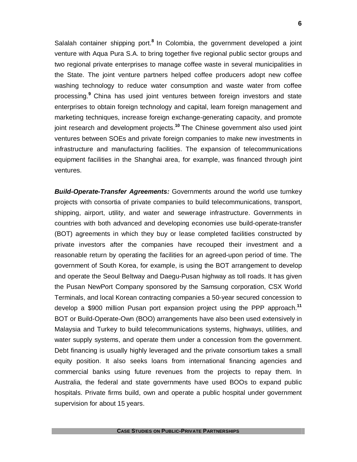Salalah container shipping port.<sup>8</sup> In Colombia, the government developed a joint venture with Aqua Pura S.A. to bring together five regional public sector groups and two regional private enterprises to manage coffee waste in several municipalities in the State. The joint venture partners helped coffee producers adopt new coffee washing technology to reduce water consumption and waste water from coffee processing. **<sup>9</sup>** China has used joint ventures between foreign investors and state enterprises to obtain foreign technology and capital, learn foreign management and marketing techniques, increase foreign exchange-generating capacity, and promote joint research and development projects.**<sup>10</sup>** The Chinese government also used joint ventures between SOEs and private foreign companies to make new investments in infrastructure and manufacturing facilities. The expansion of telecommunications equipment facilities in the Shanghai area, for example, was financed through joint ventures.

*Build-Operate-Transfer Agreements:* Governments around the world use turnkey projects with consortia of private companies to build telecommunications, transport, shipping, airport, utility, and water and sewerage infrastructure. Governments in countries with both advanced and developing economies use build-operate-transfer (BOT) agreements in which they buy or lease completed facilities constructed by private investors after the companies have recouped their investment and a reasonable return by operating the facilities for an agreed-upon period of time. The government of South Korea, for example, is using the BOT arrangement to develop and operate the Seoul Beltway and Daegu-Pusan highway as toll roads. It has given the Pusan NewPort Company sponsored by the Samsung corporation, CSX World Terminals, and local Korean contracting companies a 50-year secured concession to develop a \$900 million Pusan port expansion project using the PPP approach.**<sup>11</sup>** BOT or Build-Operate-Own (BOO) arrangements have also been used extensively in Malaysia and Turkey to build telecommunications systems, highways, utilities, and water supply systems, and operate them under a concession from the government. Debt financing is usually highly leveraged and the private consortium takes a small equity position. It also seeks loans from international financing agencies and commercial banks using future revenues from the projects to repay them. In Australia, the federal and state governments have used BOOs to expand public hospitals. Private firms build, own and operate a public hospital under government supervision for about 15 years.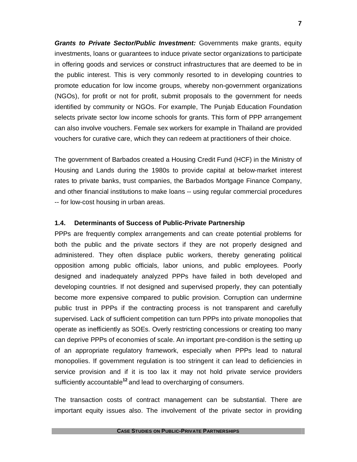*Grants to Private Sector/Public Investment:* Governments make grants, equity investments, loans or guarantees to induce private sector organizations to participate in offering goods and services or construct infrastructures that are deemed to be in the public interest. This is very commonly resorted to in developing countries to promote education for low income groups, whereby non-government organizations (NGOs), for profit or not for profit, submit proposals to the government for needs identified by community or NGOs. For example, The Punjab Education Foundation selects private sector low income schools for grants. This form of PPP arrangement can also involve vouchers. Female sex workers for example in Thailand are provided vouchers for curative care, which they can redeem at practitioners of their choice.

The government of Barbados created a Housing Credit Fund (HCF) in the Ministry of Housing and Lands during the 1980s to provide capital at below-market interest rates to private banks, trust companies, the Barbados Mortgage Finance Company, and other financial institutions to make loans -- using regular commercial procedures -- for low-cost housing in urban areas.

#### **1.4. Determinants of Success of Public-Private Partnership**

PPPs are frequently complex arrangements and can create potential problems for both the public and the private sectors if they are not properly designed and administered. They often displace public workers, thereby generating political opposition among public officials, labor unions, and public employees. Poorly designed and inadequately analyzed PPPs have failed in both developed and developing countries. If not designed and supervised properly, they can potentially become more expensive compared to public provision. Corruption can undermine public trust in PPPs if the contracting process is not transparent and carefully supervised. Lack of sufficient competition can turn PPPs into private monopolies that operate as inefficiently as SOEs. Overly restricting concessions or creating too many can deprive PPPs of economies of scale. An important pre-condition is the setting up of an appropriate regulatory framework, especially when PPPs lead to natural monopolies. If government regulation is too stringent it can lead to deficiencies in service provision and if it is too lax it may not hold private service providers sufficiently accountable**<sup>12</sup>** and lead to overcharging of consumers.

The transaction costs of contract management can be substantial. There are important equity issues also. The involvement of the private sector in providing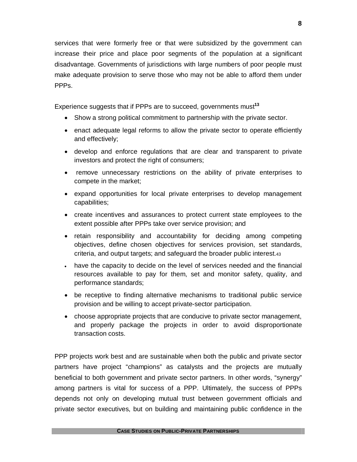services that were formerly free or that were subsidized by the government can increase their price and place poor segments of the population at a significant disadvantage. Governments of jurisdictions with large numbers of poor people must make adequate provision to serve those who may not be able to afford them under PPPs.

Experience suggests that if PPPs are to succeed, governments must**<sup>13</sup>**

- Show a strong political commitment to partnership with the private sector.
- enact adequate legal reforms to allow the private sector to operate efficiently and effectively;
- develop and enforce regulations that are clear and transparent to private investors and protect the right of consumers;
- remove unnecessary restrictions on the ability of private enterprises to compete in the market;
- expand opportunities for local private enterprises to develop management capabilities;
- create incentives and assurances to protect current state employees to the extent possible after PPPs take over service provision; and
- retain responsibility and accountability for deciding among competing objectives, define chosen objectives for services provision, set standards, criteria, and output targets; and safeguard the broader public interest.<sup>43</sup>
- have the capacity to decide on the level of services needed and the financial resources available to pay for them, set and monitor safety, quality, and performance standards;
- be receptive to finding alternative mechanisms to traditional public service provision and be willing to accept private-sector participation.
- choose appropriate projects that are conducive to private sector management, and properly package the projects in order to avoid disproportionate transaction costs.

PPP projects work best and are sustainable when both the public and private sector partners have project "champions" as catalysts and the projects are mutually beneficial to both government and private sector partners. In other words, "synergy" among partners is vital for success of a PPP. Ultimately, the success of PPPs depends not only on developing mutual trust between government officials and private sector executives, but on building and maintaining public confidence in the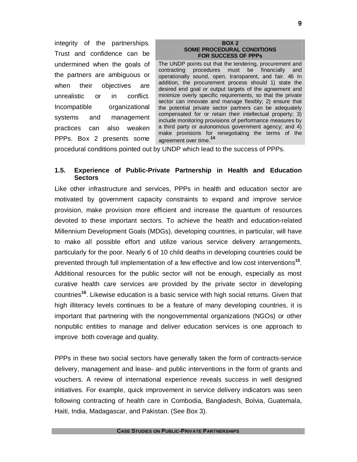integrity of the partnerships. Trust and confidence can be undermined when the goals of the partners are ambiguous or when their objectives are unrealistic or in conflict. Incompatible organizational systems and management practices can also weaken PPPs. Box 2 presents some

#### **BOX 2 SOME PROCEDURAL CONDITIONS FOR SUCCESS OF PPPs**

The UNDP points out that the tendering, procurement and contracting procedures must be financially and operationally sound, open, transparent, and fair. 46 In addition, the procurement process should 1) state the desired end goal or output targets of the agreement and minimize overly specific requirements, so that the private sector can innovate and manage flexibly; 2) ensure that the potential private sector partners can be adequately compensated for or retain their intellectual property; 3) include monitoring provisions of performance measures by a third party or autonomous government agency; and 4) make provisions for renegotiating the terms of the agreement over time.**<sup>14</sup>**

procedural conditions pointed out by UNDP which lead to the success of PPPs.

#### **1.5. Experience of Public-Private Partnership in Health and Education Sectors**

Like other infrastructure and services, PPPs in health and education sector are motivated by government capacity constraints to expand and improve service provision, make provision more efficient and increase the quantum of resources devoted to these important sectors. To achieve the health and education-related Millennium Development Goals (MDGs), developing countries, in particular, will have to make all possible effort and utilize various service delivery arrangements, particularly for the poor. Nearly 6 of 10 child deaths in developing countries could be prevented through full implementation of a few effective and low cost interventions**<sup>15</sup>** . Additional resources for the public sector will not be enough, especially as most curative health care services are provided by the private sector in developing countries**<sup>16</sup>** . Likewise education is a basic service with high social returns. Given that high illiteracy levels continues to be a feature of many developing countries, it is important that partnering with the nongovernmental organizations (NGOs) or other nonpublic entities to manage and deliver education services is one approach to improve both coverage and quality.

PPPs in these two social sectors have generally taken the form of contracts-service delivery, management and lease- and public interventions in the form of grants and vouchers. A review of international experience reveals success in well designed initiatives. For example, quick improvement in service delivery indicators was seen following contracting of health care in Combodia, Bangladesh, Bolvia, Guatemala, Haiti, India, Madagascar, and Pakistan. (See Box 3).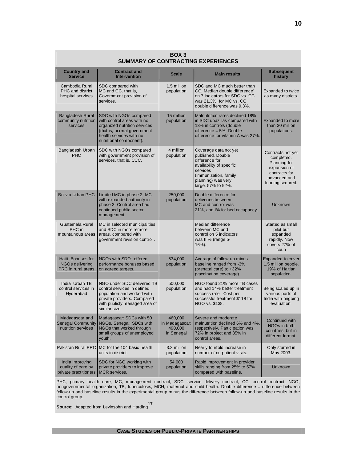| BOX <sub>3</sub><br><b>SUMMARY OF CONTRACTING EXPERIENCES</b>    |                                                                                                                                                                           |                                                    |                                                                                                                                                                           |                                                                                                                      |  |
|------------------------------------------------------------------|---------------------------------------------------------------------------------------------------------------------------------------------------------------------------|----------------------------------------------------|---------------------------------------------------------------------------------------------------------------------------------------------------------------------------|----------------------------------------------------------------------------------------------------------------------|--|
| <b>Country and</b><br><b>Service</b>                             | <b>Contract and</b><br><b>Intervention</b>                                                                                                                                | <b>Scale</b>                                       | <b>Main results</b>                                                                                                                                                       | <b>Subsequent</b><br>history                                                                                         |  |
| Cambodia Rural<br>PHC and district<br>hospital services          | SDC compared with<br>MC and CC, that is,<br>Government provision of<br>services.                                                                                          | 1.5 million<br>population                          | SDC and MC much better than<br>CC. Median double difference"<br>on 7 indicators for SDC vs. CC<br>was 21.3%; for MC vs. CC<br>double difference was 9.3%.                 | Expanded to twice<br>as many districts.                                                                              |  |
| <b>Bangladesh Rural</b><br>community nutrition<br>services       | SDC with NGOs compared<br>with control areas with no<br>organized nutrition services<br>(that is, normal government<br>health services with no<br>nutritional component). | 15 million<br>population                           | Malnutrition rates declined 18%<br>in SDC upazillas compared with<br>13% in controls (double<br>difference $= 5\%$ . Double<br>difference for vitamin A was 27%.          | <b>Expanded to more</b><br>than 30 million<br>populations.                                                           |  |
| Bangladesh Urban<br><b>PHC</b>                                   | SDC with NGOs compared<br>with government provision of<br>services, that is, CCC.                                                                                         | 4 million<br>population                            | Coverage data not yet<br>published. Double<br>difference for<br>availability of specific<br>services<br>(immunization, family<br>planning) was very<br>large, 57% to 92%. | Contracts not yet<br>completed.<br>Planning for<br>expansion of<br>contracts far<br>advanced and<br>funding secured. |  |
| <b>Bolivia Urban PHC</b>                                         | Limited MC in phase 2. MC<br>with expanded authority in<br>phase 3. Control area had<br>continued public sector<br>management.                                            | 250,000<br>population                              | Double difference for<br>deliveries between<br>MC and control was<br>21%, and I% for bed occupancy.                                                                       | <b>Unknown</b>                                                                                                       |  |
| Guatemala Rural<br>PHC in<br>mountainous areas                   | MC in selected municipalities<br>and SDC in more remote<br>areas, compared with<br>government revision control.                                                           |                                                    | Median difference<br>between MC and<br>control on 5 indicators<br>was II % (range 5-<br>$16%$ ).                                                                          | Started as small<br>pilot but<br>expanded<br>rapidly. Now<br>covers 27% of<br>coun                                   |  |
| Haiti Bonuses for<br>NGOs delivering<br>PRC in rural areas       | NGOs with SDCs offered<br>performance bonuses based<br>on agreed targets.                                                                                                 | 534,000<br>population                              | Average of follow-up minus<br>baseline ranged from -3%<br>(prenatal care) to +32%<br>(vaccination coverage).                                                              | Expanded to cover<br>1.5 million people,<br>19% of Haitian<br>population.                                            |  |
| India Urban TB<br>control services in<br>Hyderabad               | NGO under SDC delivered TB<br>control services in defined<br>population and worked with<br>private providers. Compared<br>with publicly managed area of<br>similar size.  | 500,000<br>population                              | NGO found 21% more TB cases<br>and had 14% better treatment<br>success rate. Cost per<br>successful treatment \$118 for<br>NGO vs. \$138.                                 | Being scaled up in<br>various parts of<br>India with ongoing<br>evaluation.                                          |  |
| Madagascar and<br><b>Senegal Community</b><br>nutrition services | Madagascar: SDCs with 50<br>NGOs. Senegal: SDCs with<br>NGOs that worked through<br>small groups of unemployed<br>youth.                                                  | 460,000<br>in Madagascar;<br>490,000<br>in Senegal | Severe and moderate<br>malnutrition declined 6% and 4%,<br>respectively. Participation was<br>72% in project and 35% in<br>control areas.                                 | Continued with<br>NGOs in both<br>countries, but in<br>different format.                                             |  |
| Pakistan Rural PRC                                               | MC for the 104 basic health<br>units in district.                                                                                                                         | 3.3 million<br>population                          | Nearly fourfold increase in<br>number of outpatient visits.                                                                                                               | Only started in<br>May 2003.                                                                                         |  |
| India Improving<br>quality of care by<br>private practitioners   | SDC for NGO working with<br>private providers to improve<br><b>MCR</b> services.                                                                                          | 54,000<br>population                               | Rapid improvement in provider<br>skills ranging from 25% to 57%<br>compared with baseline.                                                                                | Unknown                                                                                                              |  |

PHC, primary health care; MC, management contract; SDC, service delivery contract; CC, control contract; NGO, nongovernmental organization; TB, tuberculosis; MCH, maternal and child health. Double difference = difference between follow-up and baseline results in the experimental group minus the difference between follow-up and baseline results in the control group.

**Source:** Adapted from Levinsohn and Harding**<sup>17</sup>**

#### **CASE STUDIES ON PUBLIC-PRIVATE PARTNERSHIPS**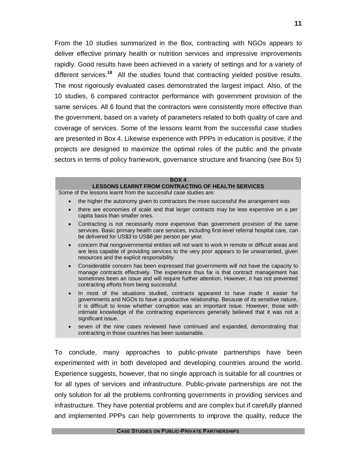From the 10 studies summarized in the Box, contracting with NGOs appears to deliver effective primary health or nutrition services and impressive improvements rapidly. Good results have been achieved in a variety of settings and for a variety of different services.**<sup>18</sup>** All the studies found that contracting yielded positive results. The most rigorously evaluated cases demonstrated the largest impact. Also, of the 10 studies, 6 compared contractor performance with government provision of the same services. All 6 found that the contractors were consistently more effective than the government, based on a variety of parameters related to both quality of care and coverage of services. Some of the lessons learnt from the successful case studies are presented in Box 4. Likewise experience with PPPs in education is positive, if the projects are designed to maximize the optimal roles of the public and the private sectors in terms of policy framework, governance structure and financing (see Box 5)

#### **BOX 4**

#### **LESSONS LEARNT FROM CONTRACTING OF HEALTH SERVICES**

Some of the lessons learnt from the successful case studies are:

- the higher the autonomy given to contractors the more successful the arrangement was
- there are economies of scale and that larger contracts may be less expensive on a per capita basis than smaller ones.
- Contracting is not necessarily more expensive than government provision of the same services. Basic primary health care services, including first-level referral hospital care, can be delivered for US\$3 to US\$6 per person per year.
- concern that nongovernmental entities will not want to work in remote or difficult areas and are less capable of providing services to the very poor appears to be unwarranted, given resources and the explicit responsibility
- Considerable concern has been expressed that governments will not have the capacity to manage contracts effectively. The experience thus far is that contract management has sometimes been an issue and will require further attention. However, it has not prevented contracting efforts from being successful.
- In most of the situations studied, contracts appeared to have made it easier for governments and NGOs to have a productive relationship. Because of its sensitive nature, it is difficult to know whether corruption was an important issue. However, those with intimate knowledge of the contracting experiences generally believed that it was not a significant issue.
- seven of the nine cases reviewed have continued and expanded, demonstrating that contracting in those countries has been sustainable.

To conclude, many approaches to public-private partnerships have been experimented with in both developed and developing countries around the world. Experience suggests, however, that no single approach is suitable for all countries or for all types of services and infrastructure. Public-private partnerships are not the only solution for all the problems confronting governments in providing services and infrastructure. They have potential problems and are complex but if carefully planned and implemented PPPs can help governments to improve the quality, reduce the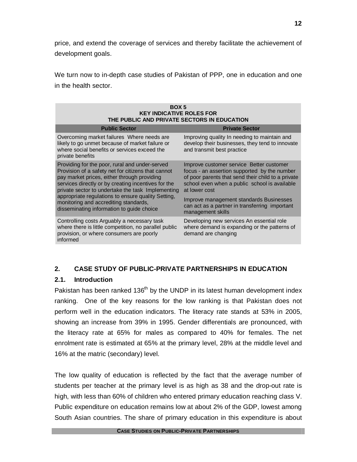price, and extend the coverage of services and thereby facilitate the achievement of development goals.

We turn now to in-depth case studies of Pakistan of PPP, one in education and one in the health sector.

| BOX 5<br><b>KEY INDICATIVE ROLES FOR</b><br>THE PUBLIC AND PRIVATE SECTORS IN EDUCATION                                                                                                                                                                                                                               |                                                                                                                                                                                                                                                             |  |  |  |
|-----------------------------------------------------------------------------------------------------------------------------------------------------------------------------------------------------------------------------------------------------------------------------------------------------------------------|-------------------------------------------------------------------------------------------------------------------------------------------------------------------------------------------------------------------------------------------------------------|--|--|--|
| <b>Public Sector</b>                                                                                                                                                                                                                                                                                                  | <b>Private Sector</b>                                                                                                                                                                                                                                       |  |  |  |
| Overcoming market failures Where needs are<br>likely to go unmet because of market failure or<br>where social benefits or services exceed the<br>private benefits                                                                                                                                                     | Improving quality In needing to maintain and<br>develop their businesses, they tend to innovate<br>and transmit best practice                                                                                                                               |  |  |  |
| Providing for the poor, rural and under-served<br>Provision of a safety net for citizens that cannot<br>pay market prices, either through providing<br>services directly or by creating incentives for the<br>private sector to undertake the task Implementing<br>appropriate regulations to ensure quality Setting, | Improve customer service Better customer<br>focus - an assertion supported by the number<br>of poor parents that send their child to a private<br>school even when a public school is available<br>at lower cost<br>Improve management standards Businesses |  |  |  |
| monitoring and accrediting standards,<br>disseminating information to guide choice                                                                                                                                                                                                                                    | can act as a partner in transferring important<br>management skills                                                                                                                                                                                         |  |  |  |
| Controlling costs Arguably a necessary task<br>where there is little competition, no parallel public<br>provision, or where consumers are poorly<br>informed                                                                                                                                                          | Developing new services An essential role<br>where demand is expanding or the patterns of<br>demand are changing                                                                                                                                            |  |  |  |

## **2. CASE STUDY OF PUBLIC-PRIVATE PARTNERSHIPS IN EDUCATION**

## **2.1. Introduction**

Pakistan has been ranked  $136<sup>th</sup>$  by the UNDP in its latest human development index ranking. One of the key reasons for the low ranking is that Pakistan does not perform well in the education indicators. The literacy rate stands at 53% in 2005, showing an increase from 39% in 1995. Gender differentials are pronounced, with the literacy rate at 65% for males as compared to 40% for females. The net enrolment rate is estimated at 65% at the primary level, 28% at the middle level and 16% at the matric (secondary) level.

The low quality of education is reflected by the fact that the average number of students per teacher at the primary level is as high as 38 and the drop-out rate is high, with less than 60% of children who entered primary education reaching class V. Public expenditure on education remains low at about 2% of the GDP, lowest among South Asian countries. The share of primary education in this expenditure is about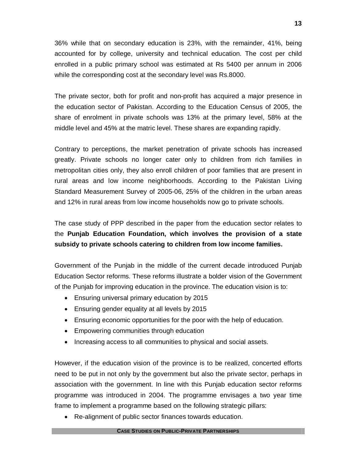36% while that on secondary education is 23%, with the remainder, 41%, being accounted for by college, university and technical education. The cost per child enrolled in a public primary school was estimated at Rs 5400 per annum in 2006 while the corresponding cost at the secondary level was Rs.8000.

The private sector, both for profit and non-profit has acquired a major presence in the education sector of Pakistan. According to the Education Census of 2005, the share of enrolment in private schools was 13% at the primary level, 58% at the middle level and 45% at the matric level. These shares are expanding rapidly.

Contrary to perceptions, the market penetration of private schools has increased greatly. Private schools no longer cater only to children from rich families in metropolitan cities only, they also enroll children of poor families that are present in rural areas and low income neighborhoods. According to the Pakistan Living Standard Measurement Survey of 2005-06, 25% of the children in the urban areas and 12% in rural areas from low income households now go to private schools.

The case study of PPP described in the paper from the education sector relates to the **Punjab Education Foundation, which involves the provision of a state subsidy to private schools catering to children from low income families.**

Government of the Punjab in the middle of the current decade introduced Punjab Education Sector reforms. These reforms illustrate a bolder vision of the Government of the Punjab for improving education in the province. The education vision is to:

- Ensuring universal primary education by 2015
- Ensuring gender equality at all levels by 2015
- Ensuring economic opportunities for the poor with the help of education.
- Empowering communities through education
- Increasing access to all communities to physical and social assets.

However, if the education vision of the province is to be realized, concerted efforts need to be put in not only by the government but also the private sector, perhaps in association with the government. In line with this Punjab education sector reforms programme was introduced in 2004. The programme envisages a two year time frame to implement a programme based on the following strategic pillars:

Re-alignment of public sector finances towards education.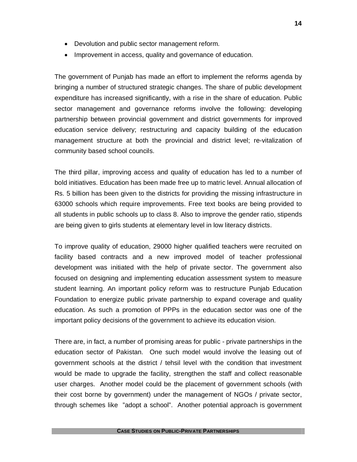- Devolution and public sector management reform.
- Improvement in access, quality and governance of education.

The government of Punjab has made an effort to implement the reforms agenda by bringing a number of structured strategic changes. The share of public development expenditure has increased significantly, with a rise in the share of education. Public sector management and governance reforms involve the following: developing partnership between provincial government and district governments for improved education service delivery; restructuring and capacity building of the education management structure at both the provincial and district level; re-vitalization of community based school councils.

The third pillar, improving access and quality of education has led to a number of bold initiatives. Education has been made free up to matric level. Annual allocation of Rs. 5 billion has been given to the districts for providing the missing infrastructure in 63000 schools which require improvements. Free text books are being provided to all students in public schools up to class 8. Also to improve the gender ratio, stipends are being given to girls students at elementary level in low literacy districts.

To improve quality of education, 29000 higher qualified teachers were recruited on facility based contracts and a new improved model of teacher professional development was initiated with the help of private sector. The government also focused on designing and implementing education assessment system to measure student learning. An important policy reform was to restructure Punjab Education Foundation to energize public private partnership to expand coverage and quality education. As such a promotion of PPPs in the education sector was one of the important policy decisions of the government to achieve its education vision.

There are, in fact, a number of promising areas for public - private partnerships in the education sector of Pakistan. One such model would involve the leasing out of government schools at the district / tehsil level with the condition that investment would be made to upgrade the facility, strengthen the staff and collect reasonable user charges. Another model could be the placement of government schools (with their cost borne by government) under the management of NGOs / private sector, through schemes like "adopt a school". Another potential approach is government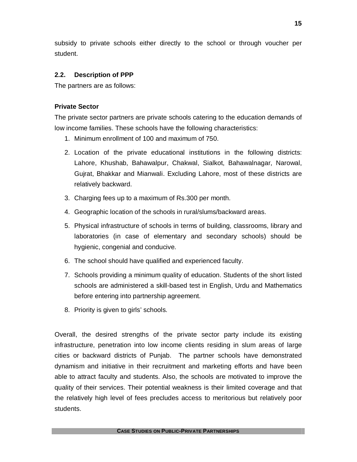subsidy to private schools either directly to the school or through voucher per student.

## **2.2. Description of PPP**

The partners are as follows:

## **Private Sector**

The private sector partners are private schools catering to the education demands of low income families. These schools have the following characteristics:

- 1. Minimum enrollment of 100 and maximum of 750.
- 2. Location of the private educational institutions in the following districts: Lahore, Khushab, Bahawalpur, Chakwal, Sialkot, Bahawalnagar, Narowal, Gujrat, Bhakkar and Mianwali. Excluding Lahore, most of these districts are relatively backward.
- 3. Charging fees up to a maximum of Rs.300 per month.
- 4. Geographic location of the schools in rural/slums/backward areas.
- 5. Physical infrastructure of schools in terms of building, classrooms, library and laboratories (in case of elementary and secondary schools) should be hygienic, congenial and conducive.
- 6. The school should have qualified and experienced faculty.
- 7. Schools providing a minimum quality of education. Students of the short listed schools are administered a skill-based test in English, Urdu and Mathematics before entering into partnership agreement.
- 8. Priority is given to girls' schools.

Overall, the desired strengths of the private sector party include its existing infrastructure, penetration into low income clients residing in slum areas of large cities or backward districts of Punjab. The partner schools have demonstrated dynamism and initiative in their recruitment and marketing efforts and have been able to attract faculty and students. Also, the schools are motivated to improve the quality of their services. Their potential weakness is their limited coverage and that the relatively high level of fees precludes access to meritorious but relatively poor students.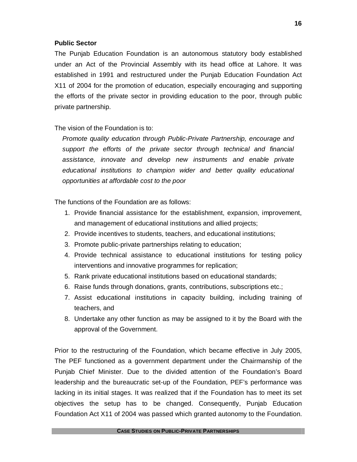### **Public Sector**

The Punjab Education Foundation is an autonomous statutory body established under an Act of the Provincial Assembly with its head office at Lahore. It was established in 1991 and restructured under the Punjab Education Foundation Act X11 of 2004 for the promotion of education, especially encouraging and supporting the efforts of the private sector in providing education to the poor, through public private partnership.

## The vision of the Foundation is to:

*Promote quality education through Public-Private Partnership, encourage and support the efforts of the private sector through technical and financial assistance, innovate and develop new instruments and enable private educational institutions to champion wider and better quality educational opportunities at affordable cost to the poor* 

The functions of the Foundation are as follows:

- 1. Provide financial assistance for the establishment, expansion, improvement, and management of educational institutions and allied projects;
- 2. Provide incentives to students, teachers, and educational institutions;
- 3. Promote public-private partnerships relating to education;
- 4. Provide technical assistance to educational institutions for testing policy interventions and innovative programmes for replication;
- 5. Rank private educational institutions based on educational standards;
- 6. Raise funds through donations, grants, contributions, subscriptions etc.;
- 7. Assist educational institutions in capacity building, including training of teachers, and
- 8. Undertake any other function as may be assigned to it by the Board with the approval of the Government.

Prior to the restructuring of the Foundation, which became effective in July 2005, The PEF functioned as a government department under the Chairmanship of the Punjab Chief Minister. Due to the divided attention of the Foundation's Board leadership and the bureaucratic set-up of the Foundation, PEF's performance was lacking in its initial stages. It was realized that if the Foundation has to meet its set objectives the setup has to be changed. Consequently, Punjab Education Foundation Act X11 of 2004 was passed which granted autonomy to the Foundation.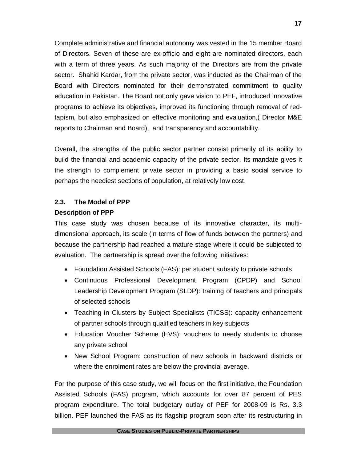Complete administrative and financial autonomy was vested in the 15 member Board of Directors. Seven of these are ex-officio and eight are nominated directors, each with a term of three years. As such majority of the Directors are from the private sector. Shahid Kardar, from the private sector, was inducted as the Chairman of the Board with Directors nominated for their demonstrated commitment to quality education in Pakistan. The Board not only gave vision to PEF, introduced innovative programs to achieve its objectives, improved its functioning through removal of redtapism, but also emphasized on effective monitoring and evaluation,( Director M&E reports to Chairman and Board), and transparency and accountability.

Overall, the strengths of the public sector partner consist primarily of its ability to build the financial and academic capacity of the private sector. Its mandate gives it the strength to complement private sector in providing a basic social service to perhaps the neediest sections of population, at relatively low cost.

## **2.3. The Model of PPP Description of PPP**

This case study was chosen because of its innovative character, its multidimensional approach, its scale (in terms of flow of funds between the partners) and because the partnership had reached a mature stage where it could be subjected to evaluation. The partnership is spread over the following initiatives:

- Foundation Assisted Schools (FAS): per student subsidy to private schools
- Continuous Professional Development Program (CPDP) and School Leadership Development Program (SLDP): training of teachers and principals of selected schools
- Teaching in Clusters by Subject Specialists (TICSS): capacity enhancement of partner schools through qualified teachers in key subjects
- Education Voucher Scheme (EVS): vouchers to needy students to choose any private school
- New School Program: construction of new schools in backward districts or where the enrolment rates are below the provincial average.

For the purpose of this case study, we will focus on the first initiative, the Foundation Assisted Schools (FAS) program, which accounts for over 87 percent of PES program expenditure. The total budgetary outlay of PEF for 2008-09 is Rs. 3.3 billion. PEF launched the FAS as its flagship program soon after its restructuring in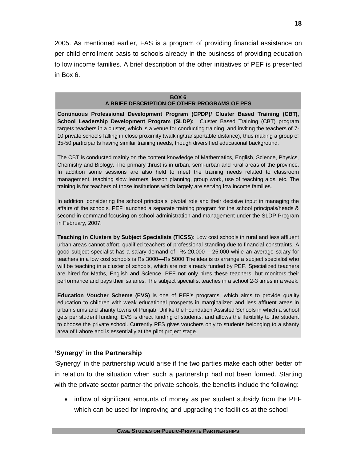2005. As mentioned earlier, FAS is a program of providing financial assistance on per child enrollment basis to schools already in the business of providing education to low income families. A brief description of the other initiatives of PEF is presented in Box 6.

#### **BOX 6 A BRIEF DESCRIPTION OF OTHER PROGRAMS OF PES**

**Continuous Professional Development Program (CPDP)/ Cluster Based Training (CBT), School Leadership Development Program (SLDP):** Cluster Based Training (CBT) program targets teachers in a cluster, which is a venue for conducting training, and inviting the teachers of 7- 10 private schools falling in close proximity (walking/transportable distance), thus making a group of 35-50 participants having similar training needs, though diversified educational background.

The CBT is conducted mainly on the content knowledge of Mathematics, English, Science, Physics, Chemistry and Biology. The primary thrust is in urban, semi-urban and rural areas of the province. In addition some sessions are also held to meet the training needs related to classroom management, teaching slow learners, lesson planning, group work, use of teaching aids, etc. The training is for teachers of those institutions which largely are serving low income families.

In addition, considering the school principals' pivotal role and their decisive input in managing the affairs of the schools, PEF launched a separate training program for the school principals/heads & second-in-command focusing on school administration and management under the SLDP Program in February, 2007.

**Teaching in Clusters by Subject Specialists (TICSS):** Low cost schools in rural and less affluent urban areas cannot afford qualified teachers of professional standing due to financial constraints. A good subject specialist has a salary demand of Rs 20,000 —25,000 while an average salary for teachers in a low cost schools is Rs 3000—Rs 5000 The idea is to arrange a subject specialist who will be teaching in a cluster of schools, which are not already funded by PEF. Specialized teachers are hired for Maths, English and Science. PEF not only hires these teachers, but monitors their performance and pays their salaries. The subject specialist teaches in a school 2-3 times in a week.

**Education Voucher Scheme (EVS)** is one of PEF's programs, which aims to provide quality education to children with weak educational prospects in marginalized and less affluent areas in urban slums and shanty towns of Punjab. Unlike the Foundation Assisted Schools in which a school gets per student funding, EVS is direct funding of students, and allows the flexibility to the student to choose the private school. Currently PES gives vouchers only to students belonging to a shanty area of Lahore and is essentially at the pilot project stage.

## **'Synergy' in the Partnership**

'Synergy' in the partnership would arise if the two parties make each other better off in relation to the situation when such a partnership had not been formed. Starting with the private sector partner-the private schools, the benefits include the following:

• inflow of significant amounts of money as per student subsidy from the PEF which can be used for improving and upgrading the facilities at the school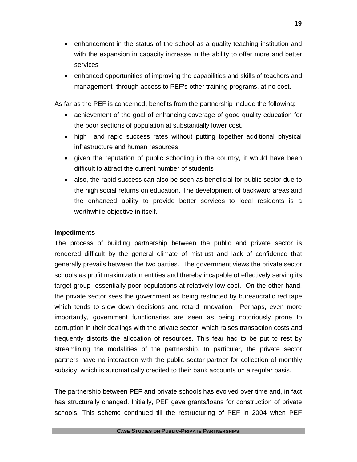- enhancement in the status of the school as a quality teaching institution and with the expansion in capacity increase in the ability to offer more and better services
- enhanced opportunities of improving the capabilities and skills of teachers and management through access to PEF's other training programs, at no cost.

As far as the PEF is concerned, benefits from the partnership include the following:

- achievement of the goal of enhancing coverage of good quality education for the poor sections of population at substantially lower cost.
- high and rapid success rates without putting together additional physical infrastructure and human resources
- given the reputation of public schooling in the country, it would have been difficult to attract the current number of students
- also, the rapid success can also be seen as beneficial for public sector due to the high social returns on education. The development of backward areas and the enhanced ability to provide better services to local residents is a worthwhile objective in itself.

## **Impediments**

The process of building partnership between the public and private sector is rendered difficult by the general climate of mistrust and lack of confidence that generally prevails between the two parties. The government views the private sector schools as profit maximization entities and thereby incapable of effectively serving its target group- essentially poor populations at relatively low cost. On the other hand, the private sector sees the government as being restricted by bureaucratic red tape which tends to slow down decisions and retard innovation. Perhaps, even more importantly, government functionaries are seen as being notoriously prone to corruption in their dealings with the private sector, which raises transaction costs and frequently distorts the allocation of resources. This fear had to be put to rest by streamlining the modalities of the partnership. In particular, the private sector partners have no interaction with the public sector partner for collection of monthly subsidy, which is automatically credited to their bank accounts on a regular basis.

The partnership between PEF and private schools has evolved over time and, in fact has structurally changed. Initially, PEF gave grants/loans for construction of private schools. This scheme continued till the restructuring of PEF in 2004 when PEF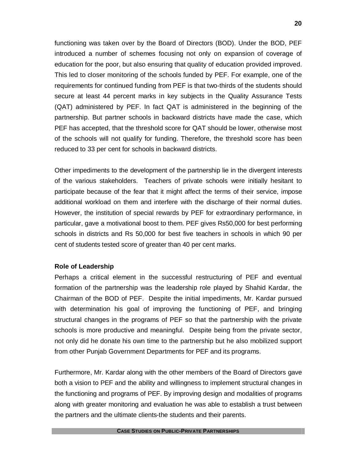functioning was taken over by the Board of Directors (BOD). Under the BOD, PEF introduced a number of schemes focusing not only on expansion of coverage of education for the poor, but also ensuring that quality of education provided improved. This led to closer monitoring of the schools funded by PEF. For example, one of the requirements for continued funding from PEF is that two-thirds of the students should secure at least 44 percent marks in key subjects in the Quality Assurance Tests (QAT) administered by PEF. In fact QAT is administered in the beginning of the partnership. But partner schools in backward districts have made the case, which PEF has accepted, that the threshold score for QAT should be lower, otherwise most of the schools will not qualify for funding. Therefore, the threshold score has been reduced to 33 per cent for schools in backward districts.

Other impediments to the development of the partnership lie in the divergent interests of the various stakeholders. Teachers of private schools were initially hesitant to participate because of the fear that it might affect the terms of their service, impose additional workload on them and interfere with the discharge of their normal duties. However, the institution of special rewards by PEF for extraordinary performance, in particular, gave a motivational boost to them. PEF gives Rs50,000 for best performing schools in districts and Rs 50,000 for best five teachers in schools in which 90 per cent of students tested score of greater than 40 per cent marks.

#### **Role of Leadership**

Perhaps a critical element in the successful restructuring of PEF and eventual formation of the partnership was the leadership role played by Shahid Kardar, the Chairman of the BOD of PEF. Despite the initial impediments, Mr. Kardar pursued with determination his goal of improving the functioning of PEF, and bringing structural changes in the programs of PEF so that the partnership with the private schools is more productive and meaningful. Despite being from the private sector, not only did he donate his own time to the partnership but he also mobilized support from other Punjab Government Departments for PEF and its programs.

Furthermore, Mr. Kardar along with the other members of the Board of Directors gave both a vision to PEF and the ability and willingness to implement structural changes in the functioning and programs of PEF. By improving design and modalities of programs along with greater monitoring and evaluation he was able to establish a trust between the partners and the ultimate clients-the students and their parents.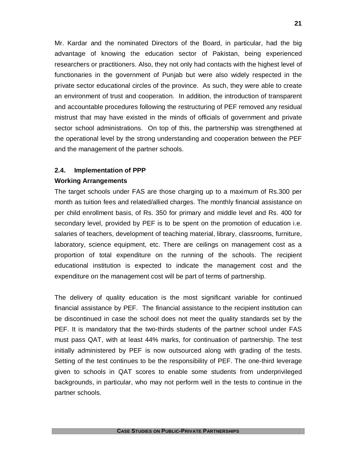Mr. Kardar and the nominated Directors of the Board, in particular, had the big advantage of knowing the education sector of Pakistan, being experienced researchers or practitioners. Also, they not only had contacts with the highest level of functionaries in the government of Punjab but were also widely respected in the private sector educational circles of the province. As such, they were able to create an environment of trust and cooperation. In addition, the introduction of transparent and accountable procedures following the restructuring of PEF removed any residual mistrust that may have existed in the minds of officials of government and private sector school administrations. On top of this, the partnership was strengthened at the operational level by the strong understanding and cooperation between the PEF and the management of the partner schools.

#### **2.4. Implementation of PPP**

#### **Working Arrangements**

The target schools under FAS are those charging up to a maximum of Rs.300 per month as tuition fees and related/allied charges. The monthly financial assistance on per child enrollment basis, of Rs. 350 for primary and middle level and Rs. 400 for secondary level, provided by PEF is to be spent on the promotion of education i.e. salaries of teachers, development of teaching material, library, classrooms, furniture, laboratory, science equipment, etc. There are ceilings on management cost as a proportion of total expenditure on the running of the schools. The recipient educational institution is expected to indicate the management cost and the expenditure on the management cost will be part of terms of partnership.

The delivery of quality education is the most significant variable for continued financial assistance by PEF. The financial assistance to the recipient institution can be discontinued in case the school does not meet the quality standards set by the PEF. It is mandatory that the two-thirds students of the partner school under FAS must pass QAT, with at least 44% marks, for continuation of partnership. The test initially administered by PEF is now outsourced along with grading of the tests. Setting of the test continues to be the responsibility of PEF. The one-third leverage given to schools in QAT scores to enable some students from underprivileged backgrounds, in particular, who may not perform well in the tests to continue in the partner schools.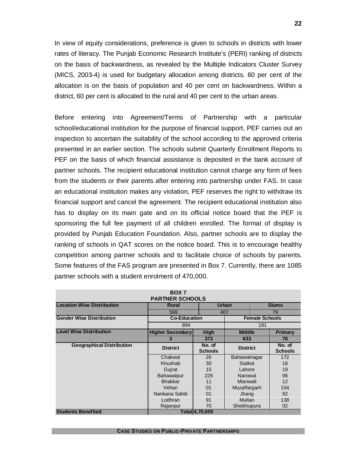In view of equity considerations, preference is given to schools in districts with lower rates of literacy. The Punjab Economic Research Institute's (PERI) ranking of districts on the basis of backwardness, as revealed by the Multiple Indicators Cluster Survey (MICS, 2003-4) is used for budgetary allocation among districts. 60 per cent of the allocation is on the basis of population and 40 per cent on backwardness. Within a district, 60 per cent is allocated to the rural and 40 per cent to the urban areas.

Before entering into Agreement/Terms of Partnership with a particular school/educational institution for the purpose of financial support, PEF carries out an inspection to ascertain the suitability of the school according to the approved criteria presented in an earlier section. The schools submit Quarterly Enrollment Reports to PEF on the basis of which financial assistance is deposited in the bank account of partner schools. The recipient educational institution cannot charge any form of fees from the students or their parents after entering into partnership under FAS. In case an educational institution makes any violation, PEF reserves the right to withdraw its financial support and cancel the agreement. The recipient educational institution also has to display on its main gate and on its official notice board that the PEF is sponsoring the full fee payment of all children enrolled. The format of display is provided by Punjab Education Foundation. Also, partner schools are to display the ranking of schools in QAT scores on the notice board. This is to encourage healthy competition among partner schools and to facilitate choice of schools by parents. Some features of the FAS program are presented in Box 7. Currently, there are 1085 partner schools with a student enrolment of 470,000.

| BOX 7<br><b>PARTNER SCHOOLS</b>   |                         |                          |                 |                       |                          |
|-----------------------------------|-------------------------|--------------------------|-----------------|-----------------------|--------------------------|
| <b>Location Wise Distribution</b> | Rural                   |                          | Urban           | <b>Slums</b>          |                          |
|                                   | 599                     |                          | 407             |                       | 79                       |
| <b>Gender Wise Distribution</b>   | <b>Co-Education</b>     |                          |                 | <b>Female Schools</b> |                          |
|                                   | 894                     |                          |                 | 191                   |                          |
| <b>Level Wise Distribution</b>    | <b>Higher Secondary</b> | <b>High</b>              |                 | <b>Middle</b>         |                          |
|                                   | 3                       | 373                      | 633             |                       | 76                       |
| <b>Geographical Distribution</b>  | <b>District</b>         | No. of<br><b>Schools</b> | <b>District</b> |                       | No. of<br><b>Schools</b> |
|                                   | Chakwal                 | 26                       | Bahawalnagar    |                       | 172                      |
|                                   | Khushab                 | 30                       | <b>Sialkot</b>  |                       | 16                       |
|                                   | Gujrat                  | 15                       | Lahore          |                       | 19                       |
|                                   | Bahawalpur              | 229                      | Narowal         |                       | 06                       |
|                                   | <b>Bhakkar</b>          | 11                       | Mianwali        |                       | 12                       |
|                                   | Vehari                  | 0 <sub>1</sub>           | Muzaffargarh    |                       | 154                      |
|                                   | Nankana Sahib           | 0 <sub>1</sub>           | Jhang           |                       | 92                       |
|                                   | Lodhran                 | 91                       | Multan          |                       | 138                      |
|                                   | Rajanpur                | 70                       | Sheikhupura     |                       | 02                       |
| <b>Students Benefited</b>         |                         | Total 4,70,000           |                 |                       |                          |

**CASE STUDIES ON PUBLIC-PRIVATE PARTNERSHIPS**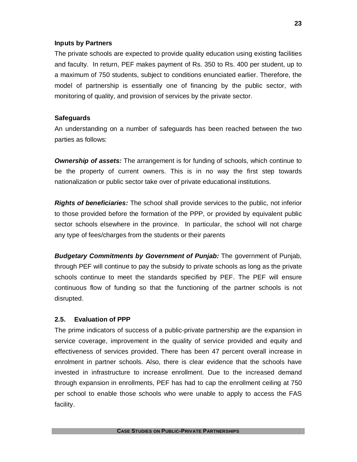#### **Inputs by Partners**

The private schools are expected to provide quality education using existing facilities and faculty. In return, PEF makes payment of Rs. 350 to Rs. 400 per student, up to a maximum of 750 students, subject to conditions enunciated earlier. Therefore, the model of partnership is essentially one of financing by the public sector, with monitoring of quality, and provision of services by the private sector.

#### **Safeguards**

An understanding on a number of safeguards has been reached between the two parties as follows:

*Ownership of assets:* The arrangement is for funding of schools, which continue to be the property of current owners. This is in no way the first step towards nationalization or public sector take over of private educational institutions.

*Rights of beneficiaries:* The school shall provide services to the public, not inferior to those provided before the formation of the PPP, or provided by equivalent public sector schools elsewhere in the province. In particular, the school will not charge any type of fees/charges from the students or their parents

*Budgetary Commitments by Government of Punjab:* The government of Punjab, through PEF will continue to pay the subsidy to private schools as long as the private schools continue to meet the standards specified by PEF. The PEF will ensure continuous flow of funding so that the functioning of the partner schools is not disrupted.

## **2.5. Evaluation of PPP**

The prime indicators of success of a public-private partnership are the expansion in service coverage, improvement in the quality of service provided and equity and effectiveness of services provided. There has been 47 percent overall increase in enrolment in partner schools. Also, there is clear evidence that the schools have invested in infrastructure to increase enrollment. Due to the increased demand through expansion in enrollments, PEF has had to cap the enrollment ceiling at 750 per school to enable those schools who were unable to apply to access the FAS facility.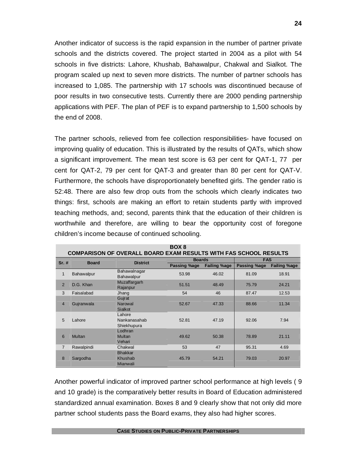Another indicator of success is the rapid expansion in the number of partner private schools and the districts covered. The project started in 2004 as a pilot with 54 schools in five districts: Lahore, Khushab, Bahawalpur, Chakwal and Sialkot. The program scaled up next to seven more districts. The number of partner schools has increased to 1,085. The partnership with 17 schools was discontinued because of poor results in two consecutive tests. Currently there are 2000 pending partnership applications with PEF. The plan of PEF is to expand partnership to 1,500 schools by the end of 2008.

The partner schools, relieved from fee collection responsibilities- have focused on improving quality of education. This is illustrated by the results of QATs, which show a significant improvement. The mean test score is 63 per cent for QAT-1, 77 per cent for QAT-2, 79 per cent for QAT-3 and greater than 80 per cent for QAT-V. Furthermore, the schools have disproportionately benefited girls. The gender ratio is 52:48. There are also few drop outs from the schools which clearly indicates two things: first, schools are making an effort to retain students partly with improved teaching methods, and; second, parents think that the education of their children is worthwhile and therefore, are willing to bear the opportunity cost of foregone children's income because of continued schooling.

| BOX 8<br><b>COMPARISON OF OVERALL BOARD EXAM RESULTS WITH FAS SCHOOL RESULTS</b> |              |                                       |               |                     |              |                     |
|----------------------------------------------------------------------------------|--------------|---------------------------------------|---------------|---------------------|--------------|---------------------|
| Sr. #                                                                            | <b>Board</b> | <b>District</b>                       | <b>Boards</b> |                     | <b>FAS</b>   |                     |
|                                                                                  |              |                                       | Passing %age  | <b>Failing %age</b> | Passing %age | <b>Failing %age</b> |
| $\mathbf{1}$                                                                     | Bahawalpur   | Bahawalnagar<br><b>Bahawalpur</b>     | 53.98         | 46.02               | 81.09        | 18.91               |
| $\overline{2}$                                                                   | D.G. Khan    | Muzaffargarh<br>Rajanpur              | 51.51         | 48.49               | 75.79        | 24.21               |
| 3                                                                                | Faisalabad   | Jhang                                 | 54            | 46                  | 87.47        | 12.53               |
|                                                                                  |              | Gujrat                                |               |                     |              |                     |
| $\overline{4}$                                                                   | Gujranwala   | Narowal<br>Sialkot                    | 52.67         | 47.33               | 88.66        | 11.34               |
| 5                                                                                | Lahore       | Lahore<br>Nankanasahab<br>Shiekhupura | 52.81         | 47.19               | 92.06        | 7.94                |
| 6                                                                                | Multan       | Lodhran<br>Multan<br>Vehari           | 49.62         | 50.38               | 78.89        | 21.11               |
| $\overline{7}$                                                                   | Rawalpindi   | Chakwal                               | 53            | 47                  | 95.31        | 4.69                |
| 8                                                                                | Sargodha     | <b>Bhakkar</b><br>Khushab<br>Mianwali | 45.79         | 54.21               | 79.03        | 20.97               |

Another powerful indicator of improved partner school performance at high levels ( 9 and 10 grade) is the comparatively better results in Board of Education administered standardized annual examination. Boxes 8 and 9 clearly show that not only did more partner school students pass the Board exams, they also had higher scores.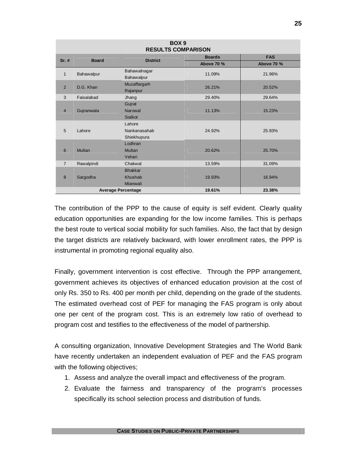| BOX <sub>9</sub><br><b>RESULTS COMPARISON</b> |                                               |                 |               |                   |  |
|-----------------------------------------------|-----------------------------------------------|-----------------|---------------|-------------------|--|
| $Sr.$ #                                       | <b>Board</b>                                  | <b>District</b> | <b>Boards</b> | <b>FAS</b>        |  |
|                                               |                                               |                 | Above 70 %    | <b>Above 70 %</b> |  |
| $\mathbf{1}$                                  | Bahawalpur                                    | Bahawalnagar    | 11.09%        | 21.96%            |  |
|                                               |                                               | Bahawalpur      |               |                   |  |
| 2                                             | D.G. Khan                                     | Muzaffargarh    | 26.21%        | 20.52%            |  |
|                                               |                                               | Rajanpur        |               |                   |  |
| 3                                             | Faisalabad                                    | Jhang           | 29.40%        | 29.64%            |  |
|                                               |                                               | Gujrat          |               |                   |  |
| $\overline{4}$                                | Gujranwala                                    | Narowal         | 11.13%        | 15.23%            |  |
|                                               |                                               | <b>Sialkot</b>  |               |                   |  |
|                                               |                                               | Lahore          |               |                   |  |
| 5                                             | Lahore                                        | Nankanasahab    | 24.92%        | 25.93%            |  |
|                                               |                                               | Shiekhupura     |               |                   |  |
|                                               |                                               | Lodhran         |               |                   |  |
| 6                                             | Multan                                        | Multan          | 20.62%        | 25.70%            |  |
|                                               |                                               | Vehari          |               |                   |  |
| $\overline{7}$                                | Rawalpindi                                    | Chakwal         | 13.59%        | 31.09%            |  |
|                                               |                                               | <b>Bhakkar</b>  |               |                   |  |
| 8                                             | Sargodha                                      | Khushab         | 19.93%        | 16.94%            |  |
|                                               |                                               | Mianwali        |               |                   |  |
|                                               | 19.61%<br>23.38%<br><b>Average Percentage</b> |                 |               |                   |  |

The contribution of the PPP to the cause of equity is self evident. Clearly quality education opportunities are expanding for the low income families. This is perhaps the best route to vertical social mobility for such families. Also, the fact that by design the target districts are relatively backward, with lower enrollment rates, the PPP is instrumental in promoting regional equality also.

Finally, government intervention is cost effective. Through the PPP arrangement, government achieves its objectives of enhanced education provision at the cost of only Rs. 350 to Rs. 400 per month per child, depending on the grade of the students. The estimated overhead cost of PEF for managing the FAS program is only about one per cent of the program cost. This is an extremely low ratio of overhead to program cost and testifies to the effectiveness of the model of partnership.

A consulting organization, Innovative Development Strategies and The World Bank have recently undertaken an independent evaluation of PEF and the FAS program with the following objectives;

- 1. Assess and analyze the overall impact and effectiveness of the program.
- 2. Evaluate the fairness and transparency of the program's processes specifically its school selection process and distribution of funds.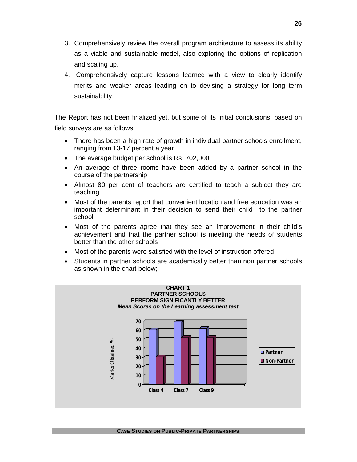- 3. Comprehensively review the overall program architecture to assess its ability as a viable and sustainable model, also exploring the options of replication and scaling up.
- 4. Comprehensively capture lessons learned with a view to clearly identify merits and weaker areas leading on to devising a strategy for long term sustainability.

The Report has not been finalized yet, but some of its initial conclusions, based on field surveys are as follows:

- There has been a high rate of growth in individual partner schools enrollment, ranging from 13-17 percent a year
- The average budget per school is Rs. 702,000
- An average of three rooms have been added by a partner school in the course of the partnership
- Almost 80 per cent of teachers are certified to teach a subject they are teaching
- Most of the parents report that convenient location and free education was an important determinant in their decision to send their child to the partner school
- Most of the parents agree that they see an improvement in their child's achievement and that the partner school is meeting the needs of students better than the other schools
- Most of the parents were satisfied with the level of instruction offered
- Students in partner schools are academically better than non partner schools as shown in the chart below;

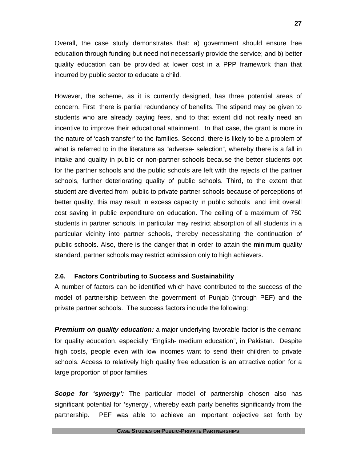Overall, the case study demonstrates that: a) government should ensure free education through funding but need not necessarily provide the service; and b) better quality education can be provided at lower cost in a PPP framework than that incurred by public sector to educate a child.

However, the scheme, as it is currently designed, has three potential areas of concern. First, there is partial redundancy of benefits. The stipend may be given to students who are already paying fees, and to that extent did not really need an incentive to improve their educational attainment. In that case, the grant is more in the nature of 'cash transfer' to the families. Second, there is likely to be a problem of what is referred to in the literature as "adverse- selection", whereby there is a fall in intake and quality in public or non-partner schools because the better students opt for the partner schools and the public schools are left with the rejects of the partner schools, further deteriorating quality of public schools. Third, to the extent that student are diverted from public to private partner schools because of perceptions of better quality, this may result in excess capacity in public schools and limit overall cost saving in public expenditure on education. The ceiling of a maximum of 750 students in partner schools, in particular may restrict absorption of all students in a particular vicinity into partner schools, thereby necessitating the continuation of public schools. Also, there is the danger that in order to attain the minimum quality standard, partner schools may restrict admission only to high achievers.

## **2.6. Factors Contributing to Success and Sustainability**

A number of factors can be identified which have contributed to the success of the model of partnership between the government of Punjab (through PEF) and the private partner schools. The success factors include the following:

**Premium on quality education:** a major underlying favorable factor is the demand for quality education, especially "English- medium education", in Pakistan. Despite high costs, people even with low incomes want to send their children to private schools. Access to relatively high quality free education is an attractive option for a large proportion of poor families.

*Scope for 'synergy':* The particular model of partnership chosen also has significant potential for 'synergy', whereby each party benefits significantly from the partnership. PEF was able to achieve an important objective set forth by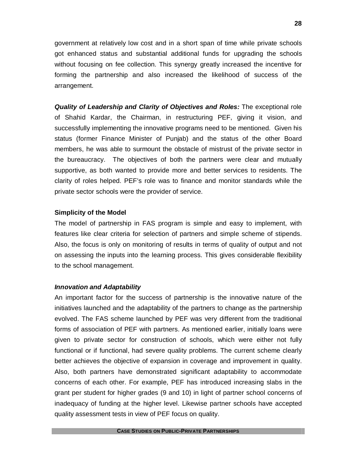government at relatively low cost and in a short span of time while private schools got enhanced status and substantial additional funds for upgrading the schools without focusing on fee collection. This synergy greatly increased the incentive for forming the partnership and also increased the likelihood of success of the arrangement.

*Quality of Leadership and Clarity of Objectives and Roles:* The exceptional role of Shahid Kardar, the Chairman, in restructuring PEF, giving it vision, and successfully implementing the innovative programs need to be mentioned. Given his status (former Finance Minister of Punjab) and the status of the other Board members, he was able to surmount the obstacle of mistrust of the private sector in the bureaucracy. The objectives of both the partners were clear and mutually supportive, as both wanted to provide more and better services to residents. The clarity of roles helped. PEF's role was to finance and monitor standards while the private sector schools were the provider of service.

#### **Simplicity of the Model**

The model of partnership in FAS program is simple and easy to implement, with features like clear criteria for selection of partners and simple scheme of stipends. Also, the focus is only on monitoring of results in terms of quality of output and not on assessing the inputs into the learning process. This gives considerable flexibility to the school management.

#### *Innovation and Adaptability*

An important factor for the success of partnership is the innovative nature of the initiatives launched and the adaptability of the partners to change as the partnership evolved. The FAS scheme launched by PEF was very different from the traditional forms of association of PEF with partners. As mentioned earlier, initially loans were given to private sector for construction of schools, which were either not fully functional or if functional, had severe quality problems. The current scheme clearly better achieves the objective of expansion in coverage and improvement in quality. Also, both partners have demonstrated significant adaptability to accommodate concerns of each other. For example, PEF has introduced increasing slabs in the grant per student for higher grades (9 and 10) in light of partner school concerns of inadequacy of funding at the higher level. Likewise partner schools have accepted quality assessment tests in view of PEF focus on quality.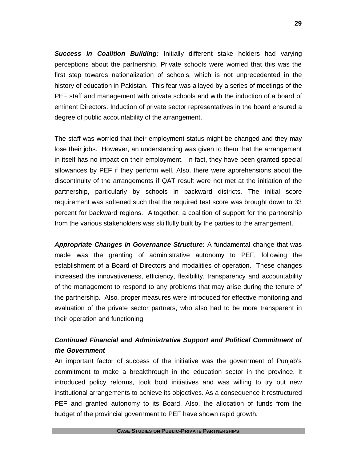*Success in Coalition Building:* Initially different stake holders had varying perceptions about the partnership. Private schools were worried that this was the first step towards nationalization of schools, which is not unprecedented in the history of education in Pakistan. This fear was allayed by a series of meetings of the PEF staff and management with private schools and with the induction of a board of eminent Directors. Induction of private sector representatives in the board ensured a degree of public accountability of the arrangement.

The staff was worried that their employment status might be changed and they may lose their jobs. However, an understanding was given to them that the arrangement in itself has no impact on their employment. In fact, they have been granted special allowances by PEF if they perform well. Also, there were apprehensions about the discontinuity of the arrangements if QAT result were not met at the initiation of the partnership, particularly by schools in backward districts. The initial score requirement was softened such that the required test score was brought down to 33 percent for backward regions. Altogether, a coalition of support for the partnership from the various stakeholders was skillfully built by the parties to the arrangement.

*Appropriate Changes in Governance Structure:* A fundamental change that was made was the granting of administrative autonomy to PEF, following the establishment of a Board of Directors and modalities of operation. These changes increased the innovativeness, efficiency, flexibility, transparency and accountability of the management to respond to any problems that may arise during the tenure of the partnership. Also, proper measures were introduced for effective monitoring and evaluation of the private sector partners, who also had to be more transparent in their operation and functioning.

## *Continued Financial and Administrative Support and Political Commitment of the Government*

An important factor of success of the initiative was the government of Punjab's commitment to make a breakthrough in the education sector in the province. It introduced policy reforms, took bold initiatives and was willing to try out new institutional arrangements to achieve its objectives. As a consequence it restructured PEF and granted autonomy to its Board. Also, the allocation of funds from the budget of the provincial government to PEF have shown rapid growth.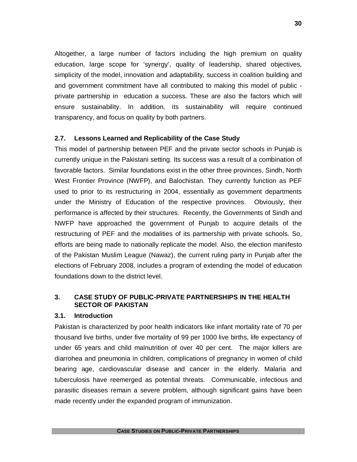Altogether, a large number of factors including the high premium on quality education, large scope for 'synergy', quality of leadership, shared objectives, simplicity of the model, innovation and adaptability, success in coalition building and and government commitment have all contributed to making this model of public private partnership in education a success. These are also the factors which will ensure sustainability. In addition, its sustainability will require continued transparency, and focus on quality by both partners.

#### **2.7. Lessons Learned and Replicability of the Case Study**

This model of partnership between PEF and the private sector schools in Punjab is currently unique in the Pakistani setting. Its success was a result of a combination of favorable factors. Similar foundations exist in the other three provinces, Sindh, North West Frontier Province (NWFP), and Balochistan. They currently function as PEF used to prior to its restructuring in 2004, essentially as government departments under the Ministry of Education of the respective provinces. Obviously, their performance is affected by their structures. Recently, the Governments of Sindh and NWFP have approached the government of Punjab to acquire details of the restructuring of PEF and the modalities of its partnership with private schools. So, efforts are being made to nationally replicate the model. Also, the election manifesto of the Pakistan Muslim League (Nawaz), the current ruling party in Punjab after the elections of February 2008, includes a program of extending the model of education foundations down to the district level.

## **3. CASE STUDY OF PUBLIC-PRIVATE PARTNERSHIPS IN THE HEALTH SECTOR OF PAKISTAN**

#### **3.1. Introduction**

Pakistan is characterized by poor health indicators like infant mortality rate of 70 per thousand live births, under five mortality of 99 per 1000 live births, life expectancy of under 65 years and child malnutrition of over 40 per cent. The major killers are diarrohea and pneumonia in children, complications of pregnancy in women of child bearing age, cardiovascular disease and cancer in the elderly. Malaria and tuberculosis have reemerged as potential threats. Communicable, infectious and parasitic diseases remain a severe problem, although significant gains have been made recently under the expanded program of immunization.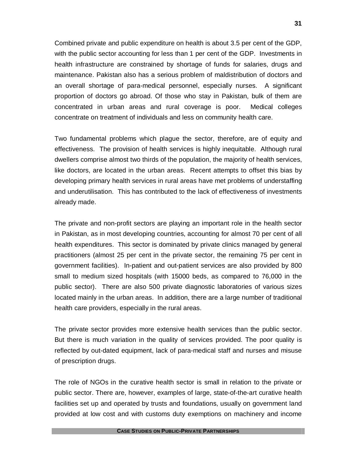Combined private and public expenditure on health is about 3.5 per cent of the GDP, with the public sector accounting for less than 1 per cent of the GDP. Investments in health infrastructure are constrained by shortage of funds for salaries, drugs and maintenance. Pakistan also has a serious problem of maldistribution of doctors and an overall shortage of para-medical personnel, especially nurses. A significant proportion of doctors go abroad. Of those who stay in Pakistan, bulk of them are concentrated in urban areas and rural coverage is poor. Medical colleges concentrate on treatment of individuals and less on community health care.

Two fundamental problems which plague the sector, therefore, are of equity and effectiveness. The provision of health services is highly inequitable. Although rural dwellers comprise almost two thirds of the population, the majority of health services, like doctors, are located in the urban areas. Recent attempts to offset this bias by developing primary health services in rural areas have met problems of understaffing and underutilisation. This has contributed to the lack of effectiveness of investments already made.

The private and non-profit sectors are playing an important role in the health sector in Pakistan, as in most developing countries, accounting for almost 70 per cent of all health expenditures. This sector is dominated by private clinics managed by general practitioners (almost 25 per cent in the private sector, the remaining 75 per cent in government facilities). In-patient and out-patient services are also provided by 800 small to medium sized hospitals (with 15000 beds, as compared to 76,000 in the public sector). There are also 500 private diagnostic laboratories of various sizes located mainly in the urban areas. In addition, there are a large number of traditional health care providers, especially in the rural areas.

The private sector provides more extensive health services than the public sector. But there is much variation in the quality of services provided. The poor quality is reflected by out-dated equipment, lack of para-medical staff and nurses and misuse of prescription drugs.

The role of NGOs in the curative health sector is small in relation to the private or public sector. There are, however, examples of large, state-of-the-art curative health facilities set up and operated by trusts and foundations, usually on government land provided at low cost and with customs duty exemptions on machinery and income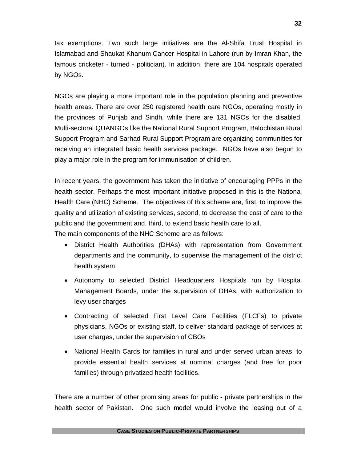tax exemptions. Two such large initiatives are the Al-Shifa Trust Hospital in Islamabad and Shaukat Khanum Cancer Hospital in Lahore (run by Imran Khan, the famous cricketer - turned - politician). In addition, there are 104 hospitals operated by NGOs.

NGOs are playing a more important role in the population planning and preventive health areas. There are over 250 registered health care NGOs, operating mostly in the provinces of Punjab and Sindh, while there are 131 NGOs for the disabled. Multi-sectoral QUANGOs like the National Rural Support Program, Balochistan Rural Support Program and Sarhad Rural Support Program are organizing communities for receiving an integrated basic health services package. NGOs have also begun to play a major role in the program for immunisation of children.

In recent years, the government has taken the initiative of encouraging PPPs in the health sector. Perhaps the most important initiative proposed in this is the National Health Care (NHC) Scheme. The objectives of this scheme are, first, to improve the quality and utilization of existing services, second, to decrease the cost of care to the public and the government and, third, to extend basic health care to all. The main components of the NHC Scheme are as follows:

- District Health Authorities (DHAs) with representation from Government departments and the community, to supervise the management of the district health system
- Autonomy to selected District Headquarters Hospitals run by Hospital Management Boards, under the supervision of DHAs, with authorization to levy user charges
- Contracting of selected First Level Care Facilities (FLCFs) to private physicians, NGOs or existing staff, to deliver standard package of services at user charges, under the supervision of CBOs
- National Health Cards for families in rural and under served urban areas, to provide essential health services at nominal charges (and free for poor families) through privatized health facilities.

There are a number of other promising areas for public - private partnerships in the health sector of Pakistan. One such model would involve the leasing out of a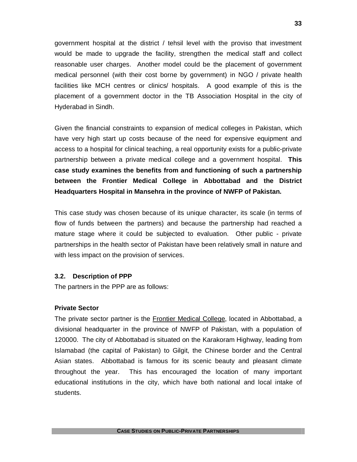government hospital at the district / tehsil level with the proviso that investment would be made to upgrade the facility, strengthen the medical staff and collect reasonable user charges. Another model could be the placement of government medical personnel (with their cost borne by government) in NGO / private health facilities like MCH centres or clinics/ hospitals. A good example of this is the placement of a government doctor in the TB Association Hospital in the city of Hyderabad in Sindh.

Given the financial constraints to expansion of medical colleges in Pakistan, which have very high start up costs because of the need for expensive equipment and access to a hospital for clinical teaching, a real opportunity exists for a public-private partnership between a private medical college and a government hospital. **This case study examines the benefits from and functioning of such a partnership between the Frontier Medical College in Abbottabad and the District Headquarters Hospital in Mansehra in the province of NWFP of Pakistan.**

This case study was chosen because of its unique character, its scale (in terms of flow of funds between the partners) and because the partnership had reached a mature stage where it could be subjected to evaluation. Other public - private partnerships in the health sector of Pakistan have been relatively small in nature and with less impact on the provision of services.

#### **3.2. Description of PPP**

The partners in the PPP are as follows:

#### **Private Sector**

The private sector partner is the Frontier Medical College, located in Abbottabad, a divisional headquarter in the province of NWFP of Pakistan, with a population of 120000. The city of Abbottabad is situated on the Karakoram Highway, leading from Islamabad (the capital of Pakistan) to Gilgit, the Chinese border and the Central Asian states. Abbottabad is famous for its scenic beauty and pleasant climate throughout the year. This has encouraged the location of many important educational institutions in the city, which have both national and local intake of students.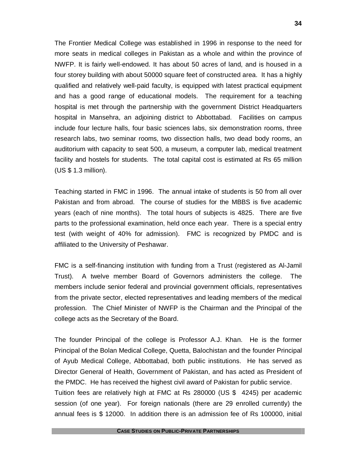The Frontier Medical College was established in 1996 in response to the need for more seats in medical colleges in Pakistan as a whole and within the province of NWFP. It is fairly well-endowed. It has about 50 acres of land, and is housed in a four storey building with about 50000 square feet of constructed area. It has a highly qualified and relatively well-paid faculty, is equipped with latest practical equipment and has a good range of educational models. The requirement for a teaching hospital is met through the partnership with the government District Headquarters hospital in Mansehra, an adjoining district to Abbottabad. Facilities on campus include four lecture halls, four basic sciences labs, six demonstration rooms, three research labs, two seminar rooms, two dissection halls, two dead body rooms, an auditorium with capacity to seat 500, a museum, a computer lab, medical treatment facility and hostels for students. The total capital cost is estimated at Rs 65 million (US \$ 1.3 million).

Teaching started in FMC in 1996. The annual intake of students is 50 from all over Pakistan and from abroad. The course of studies for the MBBS is five academic years (each of nine months). The total hours of subjects is 4825. There are five parts to the professional examination, held once each year. There is a special entry test (with weight of 40% for admission). FMC is recognized by PMDC and is affiliated to the University of Peshawar.

FMC is a self-financing institution with funding from a Trust (registered as Al-Jamil Trust). A twelve member Board of Governors administers the college. The members include senior federal and provincial government officials, representatives from the private sector, elected representatives and leading members of the medical profession. The Chief Minister of NWFP is the Chairman and the Principal of the college acts as the Secretary of the Board.

The founder Principal of the college is Professor A.J. Khan. He is the former Principal of the Bolan Medical College, Quetta, Balochistan and the founder Principal of Ayub Medical College, Abbottabad, both public institutions. He has served as Director General of Health, Government of Pakistan, and has acted as President of the PMDC. He has received the highest civil award of Pakistan for public service.

Tuition fees are relatively high at FMC at Rs 280000 (US \$ 4245) per academic session (of one year). For foreign nationals (there are 29 enrolled currently) the annual fees is \$ 12000. In addition there is an admission fee of Rs 100000, initial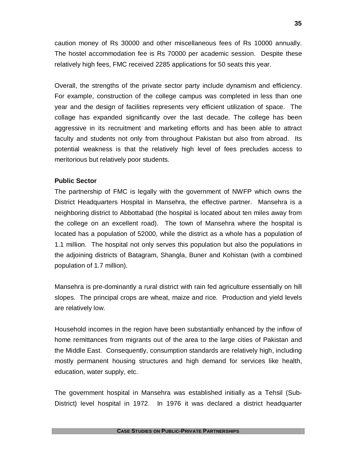caution money of Rs 30000 and other miscellaneous fees of Rs 10000 annually. The hostel accommodation fee is Rs 70000 per academic session. Despite these relatively high fees, FMC received 2285 applications for 50 seats this year.

Overall, the strengths of the private sector party include dynamism and efficiency. For example, construction of the college campus was completed in less than one year and the design of facilities represents very efficient utilization of space. The collage has expanded significantly over the last decade. The college has been aggressive in its recruitment and marketing efforts and has been able to attract faculty and students not only from throughout Pakistan but also from abroad. Its potential weakness is that the relatively high level of fees precludes access to meritorious but relatively poor students.

#### **Public Sector**

The partnership of FMC is legally with the government of NWFP which owns the District Headquarters Hospital in Mansehra, the effective partner. Mansehra is a neighboring district to Abbottabad (the hospital is located about ten miles away from the college on an excellent road). The town of Mansehra where the hospital is located has a population of 52000, while the district as a whole has a population of 1.1 million. The hospital not only serves this population but also the populations in the adjoining districts of Batagram, Shangla, Buner and Kohistan (with a combined population of 1.7 million).

Mansehra is pre-dominantly a rural district with rain fed agriculture essentially on hill slopes. The principal crops are wheat, maize and rice. Production and yield levels are relatively low.

Household incomes in the region have been substantially enhanced by the inflow of home remittances from migrants out of the area to the large cities of Pakistan and the Middle East. Consequently, consumption standards are relatively high, including mostly permanent housing structures and high demand for services like health, education, water supply, etc.

The government hospital in Mansehra was established initially as a Tehsil (Sub-District) level hospital in 1972. In 1976 it was declared a district headquarter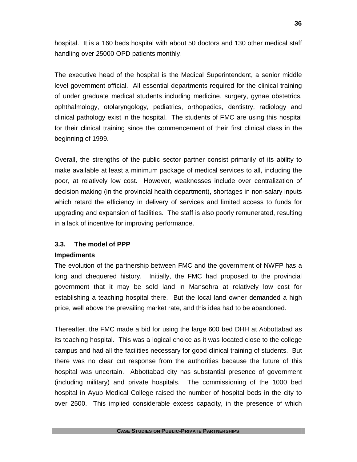hospital. It is a 160 beds hospital with about 50 doctors and 130 other medical staff handling over 25000 OPD patients monthly.

The executive head of the hospital is the Medical Superintendent, a senior middle level government official. All essential departments required for the clinical training of under graduate medical students including medicine, surgery, gynae obstetrics, ophthalmology, otolaryngology, pediatrics, orthopedics, dentistry, radiology and clinical pathology exist in the hospital. The students of FMC are using this hospital for their clinical training since the commencement of their first clinical class in the beginning of 1999.

Overall, the strengths of the public sector partner consist primarily of its ability to make available at least a minimum package of medical services to all, including the poor, at relatively low cost. However, weaknesses include over centralization of decision making (in the provincial health department), shortages in non-salary inputs which retard the efficiency in delivery of services and limited access to funds for upgrading and expansion of facilities. The staff is also poorly remunerated, resulting in a lack of incentive for improving performance.

## **3.3. The model of PPP**

#### **Impediments**

The evolution of the partnership between FMC and the government of NWFP has a long and chequered history. Initially, the FMC had proposed to the provincial government that it may be sold land in Mansehra at relatively low cost for establishing a teaching hospital there. But the local land owner demanded a high price, well above the prevailing market rate, and this idea had to be abandoned.

Thereafter, the FMC made a bid for using the large 600 bed DHH at Abbottabad as its teaching hospital. This was a logical choice as it was located close to the college campus and had all the facilities necessary for good clinical training of students. But there was no clear cut response from the authorities because the future of this hospital was uncertain. Abbottabad city has substantial presence of government (including military) and private hospitals. The commissioning of the 1000 bed hospital in Ayub Medical College raised the number of hospital beds in the city to over 2500. This implied considerable excess capacity, in the presence of which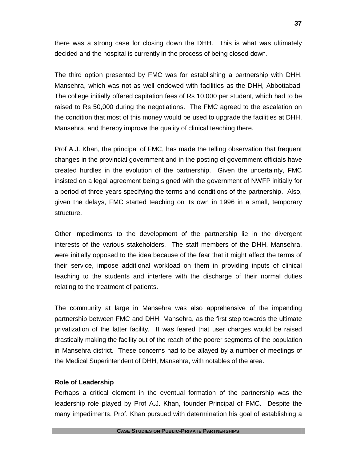there was a strong case for closing down the DHH. This is what was ultimately decided and the hospital is currently in the process of being closed down.

The third option presented by FMC was for establishing a partnership with DHH, Mansehra, which was not as well endowed with facilities as the DHH, Abbottabad. The college initially offered capitation fees of Rs 10,000 per student, which had to be raised to Rs 50,000 during the negotiations. The FMC agreed to the escalation on the condition that most of this money would be used to upgrade the facilities at DHH, Mansehra, and thereby improve the quality of clinical teaching there.

Prof A.J. Khan, the principal of FMC, has made the telling observation that frequent changes in the provincial government and in the posting of government officials have created hurdles in the evolution of the partnership. Given the uncertainty, FMC insisted on a legal agreement being signed with the government of NWFP initially for a period of three years specifying the terms and conditions of the partnership. Also, given the delays, FMC started teaching on its own in 1996 in a small, temporary structure.

Other impediments to the development of the partnership lie in the divergent interests of the various stakeholders. The staff members of the DHH, Mansehra, were initially opposed to the idea because of the fear that it might affect the terms of their service, impose additional workload on them in providing inputs of clinical teaching to the students and interfere with the discharge of their normal duties relating to the treatment of patients.

The community at large in Mansehra was also apprehensive of the impending partnership between FMC and DHH, Mansehra, as the first step towards the ultimate privatization of the latter facility. It was feared that user charges would be raised drastically making the facility out of the reach of the poorer segments of the population in Mansehra district. These concerns had to be allayed by a number of meetings of the Medical Superintendent of DHH, Mansehra, with notables of the area.

## **Role of Leadership**

Perhaps a critical element in the eventual formation of the partnership was the leadership role played by Prof A.J. Khan, founder Principal of FMC. Despite the many impediments, Prof. Khan pursued with determination his goal of establishing a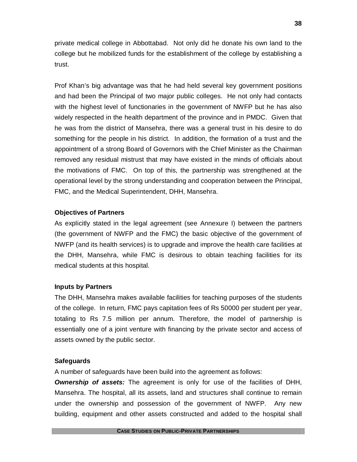private medical college in Abbottabad. Not only did he donate his own land to the college but he mobilized funds for the establishment of the college by establishing a trust.

Prof Khan's big advantage was that he had held several key government positions and had been the Principal of two major public colleges. He not only had contacts with the highest level of functionaries in the government of NWFP but he has also widely respected in the health department of the province and in PMDC. Given that he was from the district of Mansehra, there was a general trust in his desire to do something for the people in his district. In addition, the formation of a trust and the appointment of a strong Board of Governors with the Chief Minister as the Chairman removed any residual mistrust that may have existed in the minds of officials about the motivations of FMC. On top of this, the partnership was strengthened at the operational level by the strong understanding and cooperation between the Principal, FMC, and the Medical Superintendent, DHH, Mansehra.

## **Objectives of Partners**

As explicitly stated in the legal agreement (see Annexure I) between the partners (the government of NWFP and the FMC) the basic objective of the government of NWFP (and its health services) is to upgrade and improve the health care facilities at the DHH, Mansehra, while FMC is desirous to obtain teaching facilities for its medical students at this hospital.

## **Inputs by Partners**

The DHH, Mansehra makes available facilities for teaching purposes of the students of the college. In return, FMC pays capitation fees of Rs 50000 per student per year, totaling to Rs 7.5 million per annum. Therefore, the model of partnership is essentially one of a joint venture with financing by the private sector and access of assets owned by the public sector.

## **Safeguards**

A number of safeguards have been build into the agreement as follows:

*Ownership of assets:* The agreement is only for use of the facilities of DHH, Mansehra. The hospital, all its assets, land and structures shall continue to remain under the ownership and possession of the government of NWFP. Any new building, equipment and other assets constructed and added to the hospital shall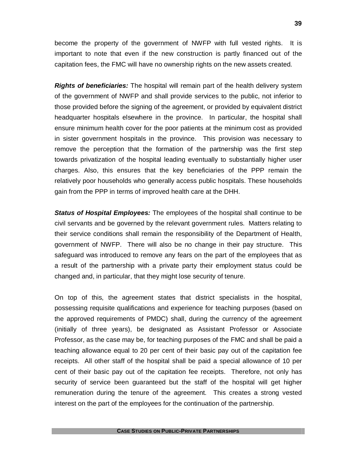become the property of the government of NWFP with full vested rights. It is important to note that even if the new construction is partly financed out of the capitation fees, the FMC will have no ownership rights on the new assets created.

*Rights of beneficiaries:* The hospital will remain part of the health delivery system of the government of NWFP and shall provide services to the public, not inferior to those provided before the signing of the agreement, or provided by equivalent district headquarter hospitals elsewhere in the province. In particular, the hospital shall ensure minimum health cover for the poor patients at the minimum cost as provided in sister government hospitals in the province. This provision was necessary to remove the perception that the formation of the partnership was the first step towards privatization of the hospital leading eventually to substantially higher user charges. Also, this ensures that the key beneficiaries of the PPP remain the relatively poor households who generally access public hospitals. These households gain from the PPP in terms of improved health care at the DHH.

*Status of Hospital Employees:* The employees of the hospital shall continue to be civil servants and be governed by the relevant government rules. Matters relating to their service conditions shall remain the responsibility of the Department of Health, government of NWFP. There will also be no change in their pay structure. This safeguard was introduced to remove any fears on the part of the employees that as a result of the partnership with a private party their employment status could be changed and, in particular, that they might lose security of tenure.

On top of this, the agreement states that district specialists in the hospital, possessing requisite qualifications and experience for teaching purposes (based on the approved requirements of PMDC) shall, during the currency of the agreement (initially of three years), be designated as Assistant Professor or Associate Professor, as the case may be, for teaching purposes of the FMC and shall be paid a teaching allowance equal to 20 per cent of their basic pay out of the capitation fee receipts. All other staff of the hospital shall be paid a special allowance of 10 per cent of their basic pay out of the capitation fee receipts. Therefore, not only has security of service been guaranteed but the staff of the hospital will get higher remuneration during the tenure of the agreement. This creates a strong vested interest on the part of the employees for the continuation of the partnership.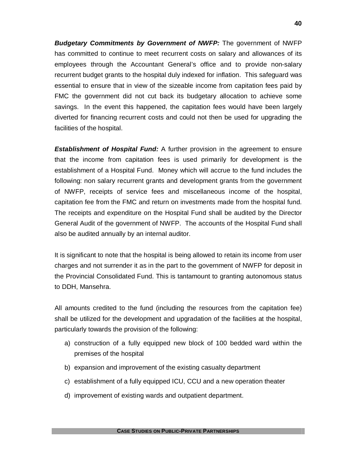*Budgetary Commitments by Government of NWFP:* The government of NWFP has committed to continue to meet recurrent costs on salary and allowances of its employees through the Accountant General's office and to provide non-salary recurrent budget grants to the hospital duly indexed for inflation. This safeguard was essential to ensure that in view of the sizeable income from capitation fees paid by FMC the government did not cut back its budgetary allocation to achieve some savings. In the event this happened, the capitation fees would have been largely diverted for financing recurrent costs and could not then be used for upgrading the facilities of the hospital.

**Establishment of Hospital Fund:** A further provision in the agreement to ensure that the income from capitation fees is used primarily for development is the establishment of a Hospital Fund. Money which will accrue to the fund includes the following: non salary recurrent grants and development grants from the government of NWFP, receipts of service fees and miscellaneous income of the hospital, capitation fee from the FMC and return on investments made from the hospital fund. The receipts and expenditure on the Hospital Fund shall be audited by the Director General Audit of the government of NWFP. The accounts of the Hospital Fund shall also be audited annually by an internal auditor.

It is significant to note that the hospital is being allowed to retain its income from user charges and not surrender it as in the part to the government of NWFP for deposit in the Provincial Consolidated Fund. This is tantamount to granting autonomous status to DDH, Mansehra.

All amounts credited to the fund (including the resources from the capitation fee) shall be utilized for the development and upgradation of the facilities at the hospital, particularly towards the provision of the following:

- a) construction of a fully equipped new block of 100 bedded ward within the premises of the hospital
- b) expansion and improvement of the existing casualty department
- c) establishment of a fully equipped ICU, CCU and a new operation theater
- d) improvement of existing wards and outpatient department.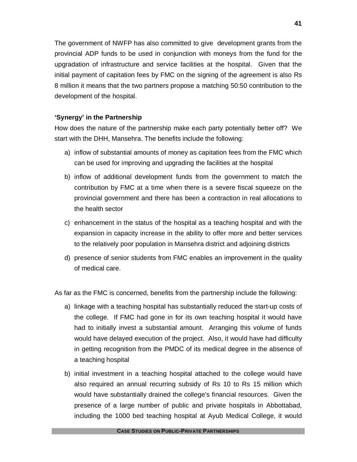The government of NWFP has also committed to give development grants from the provincial ADP funds to be used in conjunction with moneys from the fund for the upgradation of infrastructure and service facilities at the hospital. Given that the initial payment of capitation fees by FMC on the signing of the agreement is also Rs 8 million it means that the two partners propose a matching 50:50 contribution to the development of the hospital.

## **'Synergy' in the Partnership**

How does the nature of the partnership make each party potentially better off? We start with the DHH, Mansehra. The benefits include the following:

- a) inflow of substantial amounts of money as capitation fees from the FMC which can be used for improving and upgrading the facilities at the hospital
- b) inflow of additional development funds from the government to match the contribution by FMC at a time when there is a severe fiscal squeeze on the provincial government and there has been a contraction in real allocations to the health sector
- c) enhancement in the status of the hospital as a teaching hospital and with the expansion in capacity increase in the ability to offer more and better services to the relatively poor population in Mansehra district and adjoining districts
- d) presence of senior students from FMC enables an improvement in the quality of medical care.

As far as the FMC is concerned, benefits from the partnership include the following:

- a) linkage with a teaching hospital has substantially reduced the start-up costs of the college. If FMC had gone in for its own teaching hospital it would have had to initially invest a substantial amount. Arranging this volume of funds would have delayed execution of the project. Also, it would have had difficulty in getting recognition from the PMDC of its medical degree in the absence of a teaching hospital
- b) initial investment in a teaching hospital attached to the college would have also required an annual recurring subsidy of Rs 10 to Rs 15 million which would have substantially drained the college's financial resources. Given the presence of a large number of public and private hospitals in Abbottabad, including the 1000 bed teaching hospital at Ayub Medical College, it would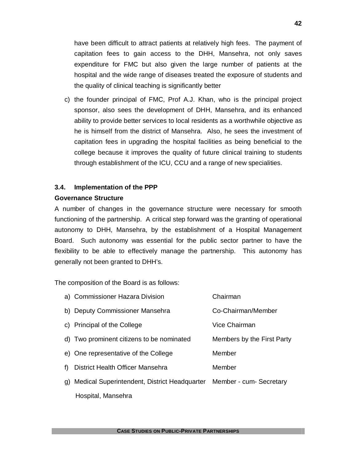have been difficult to attract patients at relatively high fees. The payment of capitation fees to gain access to the DHH, Mansehra, not only saves expenditure for FMC but also given the large number of patients at the hospital and the wide range of diseases treated the exposure of students and the quality of clinical teaching is significantly better

c) the founder principal of FMC, Prof A.J. Khan, who is the principal project sponsor, also sees the development of DHH, Mansehra, and its enhanced ability to provide better services to local residents as a worthwhile objective as he is himself from the district of Mansehra. Also, he sees the investment of capitation fees in upgrading the hospital facilities as being beneficial to the college because it improves the quality of future clinical training to students through establishment of the ICU, CCU and a range of new specialities.

#### **3.4. Implementation of the PPP**

#### **Governance Structure**

A number of changes in the governance structure were necessary for smooth functioning of the partnership. A critical step forward was the granting of operational autonomy to DHH, Mansehra, by the establishment of a Hospital Management Board. Such autonomy was essential for the public sector partner to have the flexibility to be able to effectively manage the partnership. This autonomy has generally not been granted to DHH's.

The composition of the Board is as follows:

|    | a) Commissioner Hazara Division                                         | Chairman                   |
|----|-------------------------------------------------------------------------|----------------------------|
|    | b) Deputy Commissioner Mansehra                                         | Co-Chairman/Member         |
|    | c) Principal of the College                                             | Vice Chairman              |
|    | d) Two prominent citizens to be nominated                               | Members by the First Party |
|    | e) One representative of the College                                    | Member                     |
| f) | <b>District Health Officer Mansehra</b>                                 | Member                     |
|    | g) Medical Superintendent, District Headquarter Member - cum- Secretary |                            |
|    | Hospital, Mansehra                                                      |                            |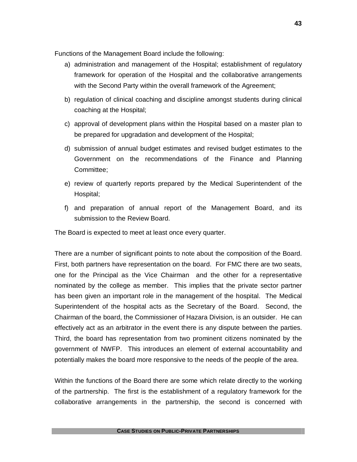Functions of the Management Board include the following:

- a) administration and management of the Hospital; establishment of regulatory framework for operation of the Hospital and the collaborative arrangements with the Second Party within the overall framework of the Agreement;
- b) regulation of clinical coaching and discipline amongst students during clinical coaching at the Hospital;
- c) approval of development plans within the Hospital based on a master plan to be prepared for upgradation and development of the Hospital;
- d) submission of annual budget estimates and revised budget estimates to the Government on the recommendations of the Finance and Planning Committee;
- e) review of quarterly reports prepared by the Medical Superintendent of the Hospital;
- f) and preparation of annual report of the Management Board, and its submission to the Review Board.

The Board is expected to meet at least once every quarter.

There are a number of significant points to note about the composition of the Board. First, both partners have representation on the board. For FMC there are two seats, one for the Principal as the Vice Chairman and the other for a representative nominated by the college as member. This implies that the private sector partner has been given an important role in the management of the hospital. The Medical Superintendent of the hospital acts as the Secretary of the Board. Second, the Chairman of the board, the Commissioner of Hazara Division, is an outsider. He can effectively act as an arbitrator in the event there is any dispute between the parties. Third, the board has representation from two prominent citizens nominated by the government of NWFP. This introduces an element of external accountability and potentially makes the board more responsive to the needs of the people of the area.

Within the functions of the Board there are some which relate directly to the working of the partnership. The first is the establishment of a regulatory framework for the collaborative arrangements in the partnership, the second is concerned with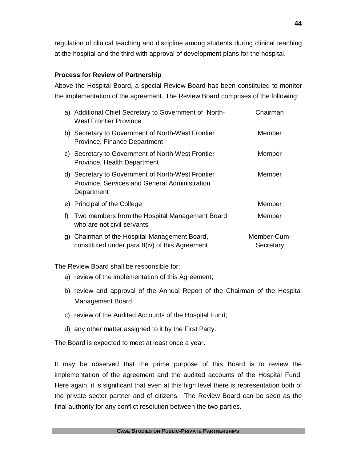regulation of clinical teaching and discipline among students during clinical teaching at the hospital and the third with approval of development plans for the hospital.

## **Process for Review of Partnership**

Above the Hospital Board, a special Review Board has been constituted to monitor the implementation of the agreement. The Review Board comprises of the following:

|    | a) Additional Chief Secretary to Government of North-<br><b>West Frontier Province</b>                           | Chairman                 |
|----|------------------------------------------------------------------------------------------------------------------|--------------------------|
|    | b) Secretary to Government of North-West Frontier<br>Province, Finance Department                                | Member                   |
|    | c) Secretary to Government of North-West Frontier<br>Province, Health Department                                 | Member                   |
|    | d) Secretary to Government of North-West Frontier<br>Province, Services and General Administration<br>Department | Member                   |
|    | e) Principal of the College                                                                                      | Member                   |
| f) | Two members from the Hospital Management Board<br>who are not civil servants                                     | Member                   |
|    | g) Chairman of the Hospital Management Board,<br>constituted under para 8(iv) of this Agreement                  | Member-Cum-<br>Secretary |

The Review Board shall be responsible for:

- a) review of the implementation of this Agreement;
- b) review and approval of the Annual Report of the Chairman of the Hospital Management Board;
- c) review of the Audited Accounts of the Hospital Fund;
- d) any other matter assigned to it by the First Party.

The Board is expected to meet at least once a year.

It may be observed that the prime purpose of this Board is to review the implementation of the agreement and the audited accounts of the Hospital Fund. Here again, it is significant that even at this high level there is representation both of the private sector partner and of citizens. The Review Board can be seen as the final authority for any conflict resolution between the two parties.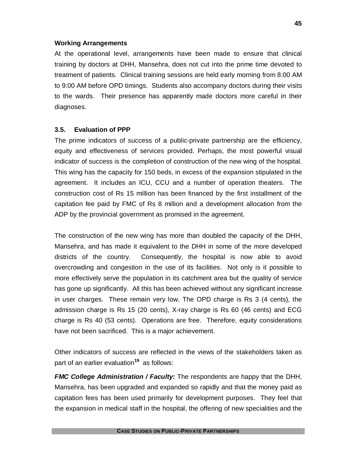## **Working Arrangements**

At the operational level, arrangements have been made to ensure that clinical training by doctors at DHH, Mansehra, does not cut into the prime time devoted to treatment of patients. Clinical training sessions are held early morning from 8:00 AM to 9:00 AM before OPD timings. Students also accompany doctors during their visits to the wards. Their presence has apparently made doctors more careful in their diagnoses.

## **3.5. Evaluation of PPP**

The prime indicators of success of a public-private partnership are the efficiency, equity and effectiveness of services provided. Perhaps, the most powerful visual indicator of success is the completion of construction of the new wing of the hospital. This wing has the capacity for 150 beds, in excess of the expansion stipulated in the agreement. It includes an ICU, CCU and a number of operation theaters. The construction cost of Rs 15 million has been financed by the first installment of the capitation fee paid by FMC of Rs 8 million and a development allocation from the ADP by the provincial government as promised in the agreement.

The construction of the new wing has more than doubled the capacity of the DHH, Mansehra, and has made it equivalent to the DHH in some of the more developed districts of the country. Consequently, the hospital is now able to avoid overcrowding and congestion in the use of its facilities. Not only is it possible to more effectively serve the population in its catchment area but the quality of service has gone up significantly. All this has been achieved without any significant increase in user charges. These remain very low. The OPD charge is Rs 3 (4 cents), the admission charge is Rs 15 (20 cents), X-ray charge is Rs 60 (46 cents) and ECG charge is Rs 40 (53 cents). Operations are free. Therefore, equity considerations have not been sacrificed. This is a major achievement.

Other indicators of success are reflected in the views of the stakeholders taken as part of an earlier evaluation**<sup>19</sup>** as follows:

*FMC College Administration / Faculty:* The respondents are happy that the DHH, Mansehra, has been upgraded and expanded so rapidly and that the money paid as capitation fees has been used primarily for development purposes. They feel that the expansion in medical staff in the hospital, the offering of new specialities and the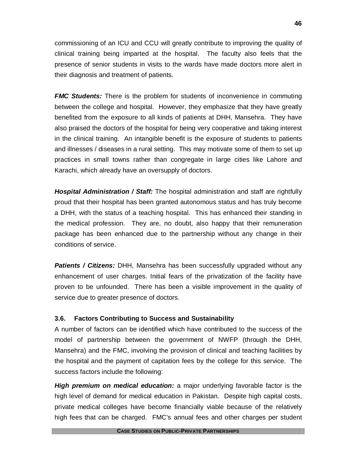commissioning of an ICU and CCU will greatly contribute to improving the quality of clinical training being imparted at the hospital. The faculty also feels that the presence of senior students in visits to the wards have made doctors more alert in their diagnosis and treatment of patients.

**FMC Students:** There is the problem for students of inconvenience in commuting between the college and hospital. However, they emphasize that they have greatly benefited from the exposure to all kinds of patients at DHH, Mansehra. They have also praised the doctors of the hospital for being very cooperative and taking interest in the clinical training. An intangible benefit is the exposure of students to patients and illnesses / diseases in a rural setting. This may motivate some of them to set up practices in small towns rather than congregate in large cities like Lahore and Karachi, which already have an oversupply of doctors.

*Hospital Administration / Staff:* The hospital administration and staff are rightfully proud that their hospital has been granted autonomous status and has truly become a DHH, with the status of a teaching hospital. This has enhanced their standing in the medical profession. They are, no doubt, also happy that their remuneration package has been enhanced due to the partnership without any change in their conditions of service.

*Patients / Citizens:* DHH, Mansehra has been successfully upgraded without any enhancement of user charges. Initial fears of the privatization of the facility have proven to be unfounded. There has been a visible improvement in the quality of service due to greater presence of doctors.

## **3.6. Factors Contributing to Success and Sustainability**

A number of factors can be identified which have contributed to the success of the model of partnership between the government of NWFP (through the DHH, Mansehra) and the FMC, involving the provision of clinical and teaching facilities by the hospital and the payment of capitation fees by the college for this service. The success factors include the following:

*High premium on medical education:* a major underlying favorable factor is the high level of demand for medical education in Pakistan. Despite high capital costs, private medical colleges have become financially viable because of the relatively high fees that can be charged. FMC's annual fees and other charges per student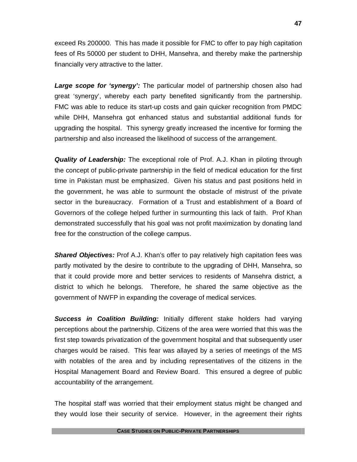exceed Rs 200000. This has made it possible for FMC to offer to pay high capitation fees of Rs 50000 per student to DHH, Mansehra, and thereby make the partnership financially very attractive to the latter.

*Large scope for 'synergy':* The particular model of partnership chosen also had great 'synergy', whereby each party benefited significantly from the partnership. FMC was able to reduce its start-up costs and gain quicker recognition from PMDC while DHH, Mansehra got enhanced status and substantial additional funds for upgrading the hospital. This synergy greatly increased the incentive for forming the partnership and also increased the likelihood of success of the arrangement.

*Quality of Leadership:* The exceptional role of Prof. A.J. Khan in piloting through the concept of public-private partnership in the field of medical education for the first time in Pakistan must be emphasized. Given his status and past positions held in the government, he was able to surmount the obstacle of mistrust of the private sector in the bureaucracy. Formation of a Trust and establishment of a Board of Governors of the college helped further in surmounting this lack of faith. Prof Khan demonstrated successfully that his goal was not profit maximization by donating land free for the construction of the college campus.

*Shared Objectives:* Prof A.J. Khan's offer to pay relatively high capitation fees was partly motivated by the desire to contribute to the upgrading of DHH, Mansehra, so that it could provide more and better services to residents of Mansehra district, a district to which he belongs. Therefore, he shared the same objective as the government of NWFP in expanding the coverage of medical services.

*Success in Coalition Building:* Initially different stake holders had varying perceptions about the partnership. Citizens of the area were worried that this was the first step towards privatization of the government hospital and that subsequently user charges would be raised. This fear was allayed by a series of meetings of the MS with notables of the area and by including representatives of the citizens in the Hospital Management Board and Review Board. This ensured a degree of public accountability of the arrangement.

The hospital staff was worried that their employment status might be changed and they would lose their security of service. However, in the agreement their rights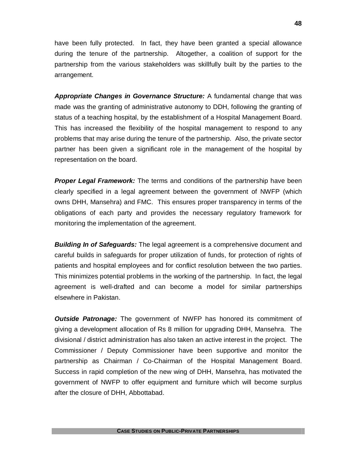have been fully protected. In fact, they have been granted a special allowance during the tenure of the partnership. Altogether, a coalition of support for the partnership from the various stakeholders was skillfully built by the parties to the arrangement.

*Appropriate Changes in Governance Structure:* A fundamental change that was made was the granting of administrative autonomy to DDH, following the granting of status of a teaching hospital, by the establishment of a Hospital Management Board. This has increased the flexibility of the hospital management to respond to any problems that may arise during the tenure of the partnership. Also, the private sector partner has been given a significant role in the management of the hospital by representation on the board.

*Proper Legal Framework:* The terms and conditions of the partnership have been clearly specified in a legal agreement between the government of NWFP (which owns DHH, Mansehra) and FMC. This ensures proper transparency in terms of the obligations of each party and provides the necessary regulatory framework for monitoring the implementation of the agreement.

*Building In of Safeguards:* The legal agreement is a comprehensive document and careful builds in safeguards for proper utilization of funds, for protection of rights of patients and hospital employees and for conflict resolution between the two parties. This minimizes potential problems in the working of the partnership. In fact, the legal agreement is well-drafted and can become a model for similar partnerships elsewhere in Pakistan.

*Outside Patronage:* The government of NWFP has honored its commitment of giving a development allocation of Rs 8 million for upgrading DHH, Mansehra. The divisional / district administration has also taken an active interest in the project. The Commissioner / Deputy Commissioner have been supportive and monitor the partnership as Chairman / Co-Chairman of the Hospital Management Board. Success in rapid completion of the new wing of DHH, Mansehra, has motivated the government of NWFP to offer equipment and furniture which will become surplus after the closure of DHH, Abbottabad.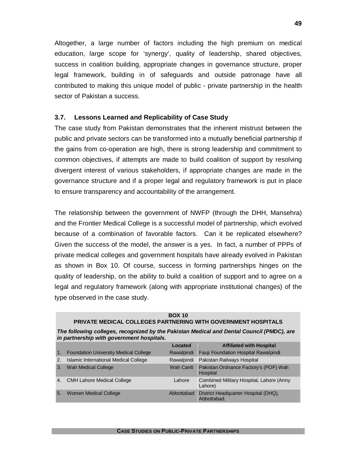Altogether, a large number of factors including the high premium on medical education, large scope for 'synergy', quality of leadership, shared objectives, success in coalition building, appropriate changes in governance structure, proper legal framework, building in of safeguards and outside patronage have all contributed to making this unique model of public - private partnership in the health sector of Pakistan a success.

## **3.7. Lessons Learned and Replicability of Case Study**

The case study from Pakistan demonstrates that the inherent mistrust between the public and private sectors can be transformed into a mutually beneficial partnership if the gains from co-operation are high, there is strong leadership and commitment to common objectives, if attempts are made to build coalition of support by resolving divergent interest of various stakeholders, if appropriate changes are made in the governance structure and if a proper legal and regulatory framework is put in place to ensure transparency and accountability of the arrangement.

The relationship between the government of NWFP (through the DHH, Mansehra) and the Frontier Medical College is a successful model of partnership, which evolved because of a combination of favorable factors. Can it be replicated elsewhere? Given the success of the model, the answer is a yes. In fact, a number of PPPs of private medical colleges and government hospitals have already evolved in Pakistan as shown in Box 10. Of course, success in forming partnerships hinges on the quality of leadership, on the ability to build a coalition of support and to agree on a legal and regulatory framework (along with appropriate institutional changes) of the type observed in the case study.

|    | <b>BOX 10</b><br><b>PRIVATE MEDICAL COLLEGES PARTNERING WITH GOVERNMENT HOSPITALS</b>                                                  |                  |                                                     |  |  |  |
|----|----------------------------------------------------------------------------------------------------------------------------------------|------------------|-----------------------------------------------------|--|--|--|
|    | The following colleges, recognized by the Pakistan Medical and Dental Council (PMDC), are<br>in partnership with government hospitals. |                  |                                                     |  |  |  |
|    |                                                                                                                                        | Located          | <b>Affiliated with Hospital</b>                     |  |  |  |
| 1. | <b>Foundation University Medical College</b>                                                                                           | Rawalpindi       | Fauji Foundation Hospital Rawalpindi                |  |  |  |
| 2. | Islamic International Medical College                                                                                                  | Rawalpindi       | Pakistan Railways Hospital                          |  |  |  |
| 3. | <b>Wah Medical College</b>                                                                                                             | <b>Wah Cantt</b> | Pakistan Ordnance Factory's (POF) Wah<br>Hospital   |  |  |  |
| 4. | <b>CMH Lahore Medical College</b>                                                                                                      | Lahore           | Combined Military Hospital, Lahore (Army<br>Lahore) |  |  |  |
| 5. | <b>Women Medical College</b>                                                                                                           | Abbottabad       | District Headquarter Hospital (DHQ),<br>Abbottabad. |  |  |  |

#### **CASE STUDIES ON PUBLIC-PRIVATE PARTNERSHIPS**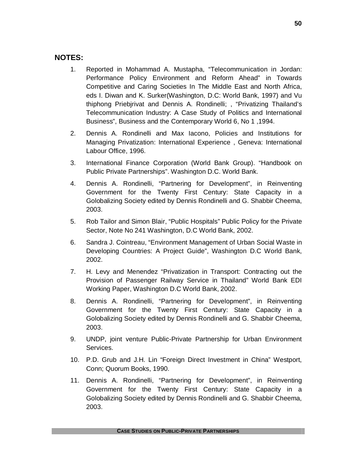## **NOTES:**

- 1. Reported in Mohammad A. Mustapha, "Telecommunication in Jordan: Performance Policy Environment and Reform Ahead" in Towards Competitive and Caring Societies In The Middle East and North Africa, eds I. Diwan and K. Surker(Washington, D.C: World Bank, 1997) and Vu thiphong Priebjrivat and Dennis A. Rondinelli; , "Privatizing Thailand's Telecommunication Industry: A Case Study of Politics and International Business", Business and the Contemporary World 6, No 1 ,1994.
- 2. Dennis A. Rondinelli and Max Iacono, Policies and Institutions for Managing Privatization: International Experience , Geneva: International Labour Office, 1996.
- 3. International Finance Corporation (World Bank Group). "Handbook on Public Private Partnerships". Washington D.C. World Bank.
- 4. Dennis A. Rondinelli, "Partnering for Development", in Reinventing Government for the Twenty First Century: State Capacity in a Golobalizing Society edited by Dennis Rondinelli and G. Shabbir Cheema, 2003.
- 5. Rob Tailor and Simon Blair, "Public Hospitals" Public Policy for the Private Sector, Note No 241 Washington, D.C World Bank, 2002.
- 6. Sandra J. Cointreau, "Environment Management of Urban Social Waste in Developing Countries: A Project Guide", Washington D.C World Bank, 2002.
- 7. H. Levy and Menendez "Privatization in Transport: Contracting out the Provision of Passenger Railway Service in Thailand" World Bank EDI Working Paper, Washington D.C World Bank, 2002.
- 8. Dennis A. Rondinelli, "Partnering for Development", in Reinventing Government for the Twenty First Century: State Capacity in a Golobalizing Society edited by Dennis Rondinelli and G. Shabbir Cheema, 2003.
- 9. UNDP, joint venture Public-Private Partnership for Urban Environment Services.
- 10. P.D. Grub and J.H. Lin "Foreign Direct Investment in China" Westport, Conn; Quorum Books, 1990.
- 11. Dennis A. Rondinelli, "Partnering for Development", in Reinventing Government for the Twenty First Century: State Capacity in a Golobalizing Society edited by Dennis Rondinelli and G. Shabbir Cheema, 2003.